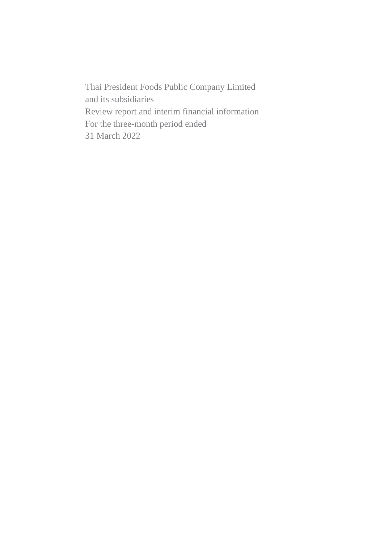Thai President Foods Public Company Limited and its subsidiaries Review report and interim financial information For the three-month period ended 31 March 2022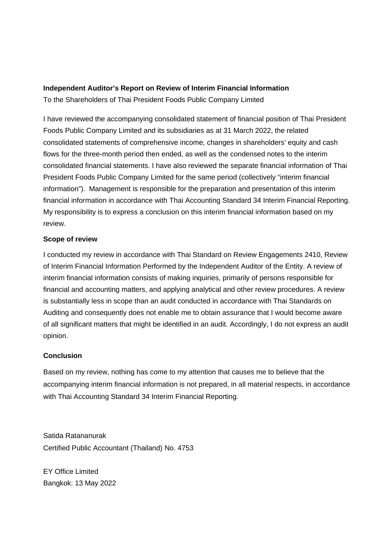# **Independent Auditor's Report on Review of Interim Financial Information**

To the Shareholders of Thai President Foods Public Company Limited

I have reviewed the accompanying consolidated statement of financial position of Thai President Foods Public Company Limited and its subsidiaries as at 31 March 2022, the related consolidated statements of comprehensive income, changes in shareholders' equity and cash flows for the three-month period then ended, as well as the condensed notes to the interim consolidated financial statements. I have also reviewed the separate financial information of Thai President Foods Public Company Limited for the same period (collectively "interim financial information"). Management is responsible for the preparation and presentation of this interim financial information in accordance with Thai Accounting Standard 34 Interim Financial Reporting. My responsibility is to express a conclusion on this interim financial information based on my review.

# **Scope of review**

I conducted my review in accordance with Thai Standard on Review Engagements 2410, Review of Interim Financial Information Performed by the Independent Auditor of the Entity. A review of interim financial information consists of making inquiries, primarily of persons responsible for financial and accounting matters, and applying analytical and other review procedures. A review is substantially less in scope than an audit conducted in accordance with Thai Standards on Auditing and consequently does not enable me to obtain assurance that I would become aware of all significant matters that might be identified in an audit. Accordingly, I do not express an audit opinion.

# **Conclusion**

Based on my review, nothing has come to my attention that causes me to believe that the accompanying interim financial information is not prepared, in all material respects, in accordance with Thai Accounting Standard 34 Interim Financial Reporting.

Satida Ratananurak Certified Public Accountant (Thailand) No. 4753

EY Office Limited Bangkok: 13 May 2022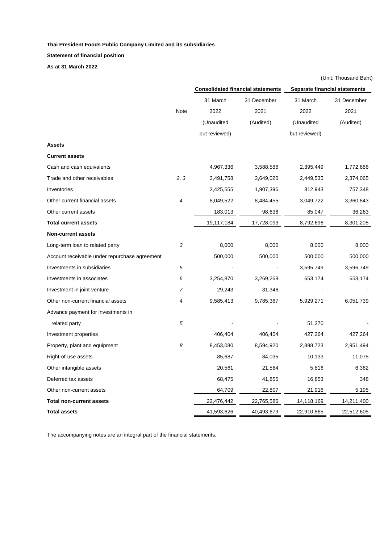**Statement of financial position**

**As at 31 March 2022**

|                                               |      | <b>Consolidated financial statements</b> |             |               | <b>Separate financial statements</b> |  |
|-----------------------------------------------|------|------------------------------------------|-------------|---------------|--------------------------------------|--|
|                                               |      | 31 March                                 | 31 December | 31 March      | 31 December                          |  |
|                                               | Note | 2022                                     | 2021        | 2022          | 2021                                 |  |
|                                               |      | (Unaudited                               | (Audited)   | (Unaudited    | (Audited)                            |  |
|                                               |      | but reviewed)                            |             | but reviewed) |                                      |  |
| <b>Assets</b>                                 |      |                                          |             |               |                                      |  |
| <b>Current assets</b>                         |      |                                          |             |               |                                      |  |
| Cash and cash equivalents                     |      | 4,967,336                                | 3,588,586   | 2,395,449     | 1,772,686                            |  |
| Trade and other receivables                   | 2, 3 | 3,491,758                                | 3,649,020   | 2,449,535     | 2,374,065                            |  |
| Inventories                                   |      | 2,425,555                                | 1,907,396   | 812,943       | 757,348                              |  |
| Other current financial assets                | 4    | 8,049,522                                | 8,484,455   | 3,049,722     | 3,360,843                            |  |
| Other current assets                          |      | 183,013                                  | 98,636      | 85,047        | 36,263                               |  |
| <b>Total current assets</b>                   |      | 19,117,184                               | 17,728,093  | 8,792,696     | 8,301,205                            |  |
| <b>Non-current assets</b>                     |      |                                          |             |               |                                      |  |
| Long-term loan to related party               | 3    | 8,000                                    | 8,000       | 8,000         | 8,000                                |  |
| Account receivable under repurchase agreement |      | 500,000                                  | 500,000     | 500,000       | 500,000                              |  |
| Investments in subsidiaries                   | 5    |                                          |             | 3,595,749     | 3,596,749                            |  |
| Investments in associates                     | 6    | 3,254,870                                | 3,269,268   | 653,174       | 653,174                              |  |
| Investment in joint venture                   | 7    | 29,243                                   | 31,346      |               |                                      |  |
| Other non-current financial assets            | 4    | 9,585,413                                | 9,785,367   | 5,929,271     | 6,051,739                            |  |
| Advance payment for investments in            |      |                                          |             |               |                                      |  |
| related party                                 | 5    |                                          |             | 51,270        |                                      |  |
| Investment properties                         |      | 406,404                                  | 406,404     | 427,264       | 427,264                              |  |
| Property, plant and equipment                 | 8    | 8,453,080                                | 8,594,920   | 2,898,723     | 2,951,494                            |  |
| Right-of-use assets                           |      | 85,687                                   | 84,035      | 10,133        | 11,075                               |  |
| Other intangible assets                       |      | 20,561                                   | 21,584      | 5,816         | 6,362                                |  |
| Deferred tax assets                           |      | 68,475                                   | 41,855      | 16,853        | 348                                  |  |
| Other non-current assets                      |      | 64,709                                   | 22,807      | 21,916        | 5,195                                |  |
| <b>Total non-current assets</b>               |      | 22,476,442                               | 22,765,586  | 14,118,169    | 14,211,400                           |  |
| <b>Total assets</b>                           |      | 41,593,626                               | 40,493,679  | 22,910,865    | 22,512,605                           |  |

The accompanying notes are an integral part of the financial statements.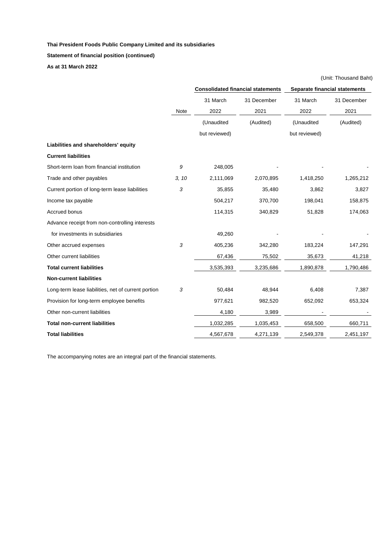**Statement of financial position (continued)**

**As at 31 March 2022**

|                                                     |       |                                          |             |               | (Unit: Thousand Baht)                |
|-----------------------------------------------------|-------|------------------------------------------|-------------|---------------|--------------------------------------|
|                                                     |       | <b>Consolidated financial statements</b> |             |               | <b>Separate financial statements</b> |
|                                                     |       | 31 March                                 | 31 December | 31 March      | 31 December                          |
|                                                     | Note  | 2022                                     | 2021        | 2022          | 2021                                 |
|                                                     |       | (Unaudited                               | (Audited)   | (Unaudited    | (Audited)                            |
|                                                     |       | but reviewed)                            |             | but reviewed) |                                      |
| Liabilities and shareholders' equity                |       |                                          |             |               |                                      |
| <b>Current liabilities</b>                          |       |                                          |             |               |                                      |
| Short-term loan from financial institution          | 9     | 248,005                                  |             |               |                                      |
| Trade and other payables                            | 3, 10 | 2,111,069                                | 2,070,895   | 1,418,250     | 1,265,212                            |
| Current portion of long-term lease liabilities      | 3     | 35,855                                   | 35,480      | 3,862         | 3,827                                |
| Income tax payable                                  |       | 504,217                                  | 370,700     | 198,041       | 158,875                              |
| Accrued bonus                                       |       | 114,315                                  | 340,829     | 51,828        | 174,063                              |
| Advance receipt from non-controlling interests      |       |                                          |             |               |                                      |
| for investments in subsidiaries                     |       | 49,260                                   |             |               |                                      |
| Other accrued expenses                              | 3     | 405,236                                  | 342,280     | 183,224       | 147,291                              |
| Other current liabilities                           |       | 67,436                                   | 75,502      | 35,673        | 41,218                               |
| <b>Total current liabilities</b>                    |       | 3,535,393                                | 3,235,686   | 1,890,878     | 1,790,486                            |
| <b>Non-current liabilities</b>                      |       |                                          |             |               |                                      |
| Long-term lease liabilities, net of current portion | 3     | 50,484                                   | 48,944      | 6,408         | 7,387                                |
| Provision for long-term employee benefits           |       | 977,621                                  | 982,520     | 652,092       | 653,324                              |
| Other non-current liabilities                       |       | 4,180                                    | 3,989       |               |                                      |
| <b>Total non-current liabilities</b>                |       | 1,032,285                                | 1,035,453   | 658,500       | 660,711                              |
| <b>Total liabilities</b>                            |       | 4,567,678                                | 4,271,139   | 2,549,378     | 2,451,197                            |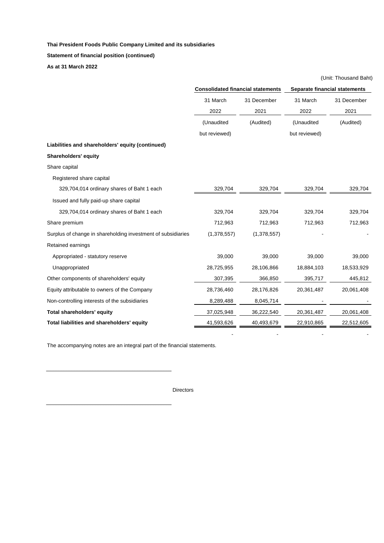**Statement of financial position (continued)**

**As at 31 March 2022**

|                                                              | <b>Consolidated financial statements</b> |             | <b>Separate financial statements</b> |             |  |
|--------------------------------------------------------------|------------------------------------------|-------------|--------------------------------------|-------------|--|
|                                                              | 31 March                                 | 31 December | 31 March                             | 31 December |  |
|                                                              | 2022                                     | 2021        | 2022                                 | 2021        |  |
|                                                              | (Unaudited                               | (Audited)   | (Unaudited                           | (Audited)   |  |
|                                                              | but reviewed)                            |             | but reviewed)                        |             |  |
| Liabilities and shareholders' equity (continued)             |                                          |             |                                      |             |  |
| Shareholders' equity                                         |                                          |             |                                      |             |  |
| Share capital                                                |                                          |             |                                      |             |  |
| Registered share capital                                     |                                          |             |                                      |             |  |
| 329,704,014 ordinary shares of Baht 1 each                   | 329,704                                  | 329,704     | 329,704                              | 329,704     |  |
| Issued and fully paid-up share capital                       |                                          |             |                                      |             |  |
| 329,704,014 ordinary shares of Baht 1 each                   | 329,704                                  | 329,704     | 329,704                              | 329,704     |  |
| Share premium                                                | 712,963                                  | 712,963     | 712,963                              | 712,963     |  |
| Surplus of change in shareholding investment of subsidiaries | (1,378,557)                              | (1,378,557) |                                      |             |  |
| Retained earnings                                            |                                          |             |                                      |             |  |
| Appropriated - statutory reserve                             | 39,000                                   | 39,000      | 39,000                               | 39,000      |  |
| Unappropriated                                               | 28,725,955                               | 28,106,866  | 18,884,103                           | 18,533,929  |  |
| Other components of shareholders' equity                     | 307,395                                  | 366,850     | 395,717                              | 445,812     |  |
| Equity attributable to owners of the Company                 | 28,736,460                               | 28,176,826  | 20,361,487                           | 20,061,408  |  |
| Non-controlling interests of the subsidiaries                | 8,289,488                                | 8,045,714   |                                      |             |  |
| <b>Total shareholders' equity</b>                            | 37,025,948                               | 36,222,540  | 20,361,487                           | 20,061,408  |  |
| Total liabilities and shareholders' equity                   | 41,593,626                               | 40,493,679  | 22,910,865                           | 22,512,605  |  |
|                                                              |                                          |             |                                      |             |  |

(Unit: Thousand Baht)

The accompanying notes are an integral part of the financial statements.

Directors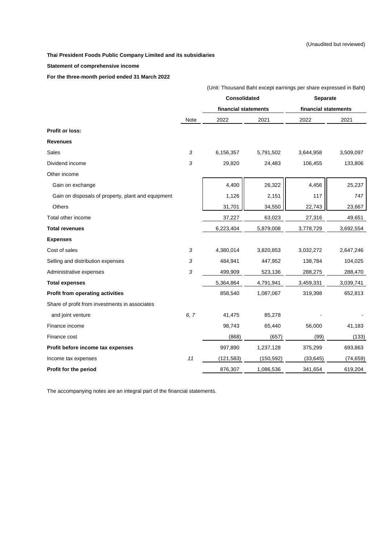**Statement of comprehensive income**

**For the three-month period ended 31 March 2022**

|                                                    |                | (Unit: Thousand Baht except earnings per share expressed in Baht) |            |                      |           |  |
|----------------------------------------------------|----------------|-------------------------------------------------------------------|------------|----------------------|-----------|--|
|                                                    |                | <b>Consolidated</b>                                               |            | <b>Separate</b>      |           |  |
|                                                    |                | financial statements                                              |            | financial statements |           |  |
|                                                    | Note           | 2022                                                              | 2021       | 2022                 | 2021      |  |
| <b>Profit or loss:</b>                             |                |                                                                   |            |                      |           |  |
| <b>Revenues</b>                                    |                |                                                                   |            |                      |           |  |
| Sales                                              | $\mathfrak{Z}$ | 6,156,357                                                         | 5,791,502  | 3,644,958            | 3,509,097 |  |
| Dividend income                                    | 3              | 29,820                                                            | 24,483     | 106,455              | 133,806   |  |
| Other income                                       |                |                                                                   |            |                      |           |  |
| Gain on exchange                                   |                | 4,400                                                             | 26,322     | 4,456                | 25,237    |  |
| Gain on disposals of property, plant and equipment |                | 1,126                                                             | 2,151      | 117                  | 747       |  |
| Others                                             |                | 31,701                                                            | 34,550     | 22,743               | 23,667    |  |
| Total other income                                 |                | 37,227                                                            | 63,023     | 27,316               | 49,651    |  |
| <b>Total revenues</b>                              |                | 6,223,404                                                         | 5,879,008  | 3,778,729            | 3,692,554 |  |
| <b>Expenses</b>                                    |                |                                                                   |            |                      |           |  |
| Cost of sales                                      | $\sqrt{3}$     | 4,380,014                                                         | 3,820,853  | 3,032,272            | 2,647,246 |  |
| Selling and distribution expenses                  | 3              | 484,941                                                           | 447,952    | 138,784              | 104,025   |  |
| Administrative expenses                            | 3              | 499,909                                                           | 523,136    | 288,275              | 288,470   |  |
| <b>Total expenses</b>                              |                | 5,364,864                                                         | 4,791,941  | 3,459,331            | 3,039,741 |  |
| <b>Profit from operating activities</b>            |                | 858,540                                                           | 1,087,067  | 319,398              | 652,813   |  |
| Share of profit from investments in associates     |                |                                                                   |            |                      |           |  |
| and joint venture                                  | 6, 7           | 41,475                                                            | 85,278     |                      |           |  |
| Finance income                                     |                | 98,743                                                            | 65,440     | 56,000               | 41,183    |  |
| Finance cost                                       |                | (868)                                                             | (657)      | (99)                 | (133)     |  |
| Profit before income tax expenses                  |                | 997,890                                                           | 1,237,128  | 375,299              | 693,863   |  |
| Income tax expenses                                | 11             | (121, 583)                                                        | (150, 592) | (33, 645)            | (74, 659) |  |
| Profit for the period                              |                | 876,307                                                           | 1,086,536  | 341,654              | 619,204   |  |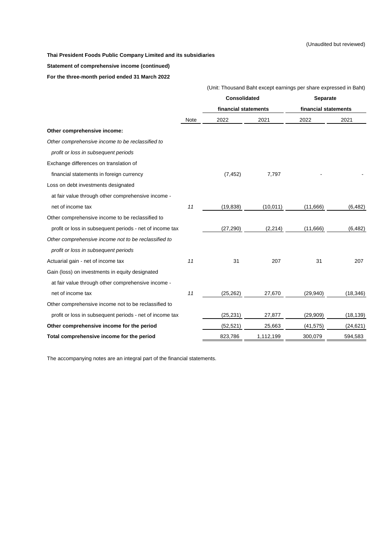**Statement of comprehensive income (continued)**

**For the three-month period ended 31 March 2022**

|                                                          |             | (Unit: Thousand Baht except earnings per share expressed in Baht) |           |                      |           |  |
|----------------------------------------------------------|-------------|-------------------------------------------------------------------|-----------|----------------------|-----------|--|
|                                                          |             | <b>Consolidated</b>                                               |           | Separate             |           |  |
|                                                          |             | financial statements                                              |           | financial statements |           |  |
|                                                          | <b>Note</b> | 2022                                                              | 2021      | 2022                 | 2021      |  |
| Other comprehensive income:                              |             |                                                                   |           |                      |           |  |
| Other comprehensive income to be reclassified to         |             |                                                                   |           |                      |           |  |
| profit or loss in subsequent periods                     |             |                                                                   |           |                      |           |  |
| Exchange differences on translation of                   |             |                                                                   |           |                      |           |  |
| financial statements in foreign currency                 |             | (7, 452)                                                          | 7,797     |                      |           |  |
| Loss on debt investments designated                      |             |                                                                   |           |                      |           |  |
| at fair value through other comprehensive income -       |             |                                                                   |           |                      |           |  |
| net of income tax                                        | 11          | (19, 838)                                                         | (10, 011) | (11,666)             | (6, 482)  |  |
| Other comprehensive income to be reclassified to         |             |                                                                   |           |                      |           |  |
| profit or loss in subsequent periods - net of income tax |             | (27, 290)                                                         | (2, 214)  | (11,666)             | (6, 482)  |  |
| Other comprehensive income not to be reclassified to     |             |                                                                   |           |                      |           |  |
| profit or loss in subsequent periods                     |             |                                                                   |           |                      |           |  |
| Actuarial gain - net of income tax                       | 11          | 31                                                                | 207       | 31                   | 207       |  |
| Gain (loss) on investments in equity designated          |             |                                                                   |           |                      |           |  |
| at fair value through other comprehensive income -       |             |                                                                   |           |                      |           |  |
| net of income tax                                        | 11          | (25, 262)                                                         | 27,670    | (29, 940)            | (18, 346) |  |
| Other comprehensive income not to be reclassified to     |             |                                                                   |           |                      |           |  |
| profit or loss in subsequent periods - net of income tax |             | (25, 231)                                                         | 27,877    | (29,909)             | (18, 139) |  |
| Other comprehensive income for the period                |             | (52, 521)                                                         | 25,663    | (41, 575)            | (24, 621) |  |
| Total comprehensive income for the period                |             | 823,786                                                           | 1,112,199 | 300,079              | 594,583   |  |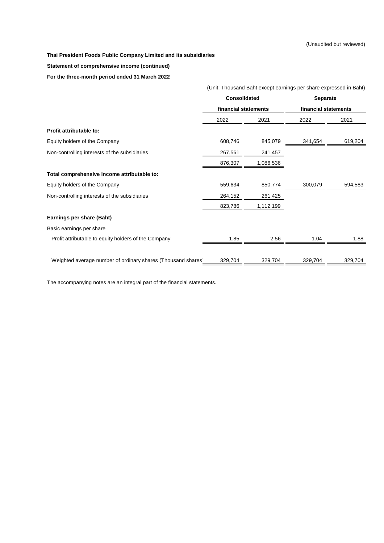# **Statement of comprehensive income (continued)**

**For the three-month period ended 31 March 2022**

| (Unit: Thousand Baht except earnings per share expressed in Baht) |           |                                      |                 |  |  |  |
|-------------------------------------------------------------------|-----------|--------------------------------------|-----------------|--|--|--|
|                                                                   |           |                                      |                 |  |  |  |
|                                                                   |           | financial statements                 |                 |  |  |  |
| 2022                                                              | 2021      | 2022                                 | 2021            |  |  |  |
|                                                                   |           |                                      |                 |  |  |  |
| 608,746                                                           | 845,079   | 341,654                              | 619,204         |  |  |  |
| 267,561                                                           | 241,457   |                                      |                 |  |  |  |
| 876,307                                                           | 1,086,536 |                                      |                 |  |  |  |
|                                                                   |           |                                      |                 |  |  |  |
| 559,634                                                           | 850,774   | 300,079                              | 594,583         |  |  |  |
| 264,152                                                           | 261,425   |                                      |                 |  |  |  |
| 823,786                                                           | 1,112,199 |                                      |                 |  |  |  |
|                                                                   |           |                                      |                 |  |  |  |
|                                                                   |           |                                      |                 |  |  |  |
| 1.85                                                              | 2.56      | 1.04                                 | 1.88            |  |  |  |
|                                                                   |           |                                      |                 |  |  |  |
| 329,704                                                           | 329,704   | 329,704                              | 329,704         |  |  |  |
|                                                                   |           | Consolidated<br>financial statements | <b>Separate</b> |  |  |  |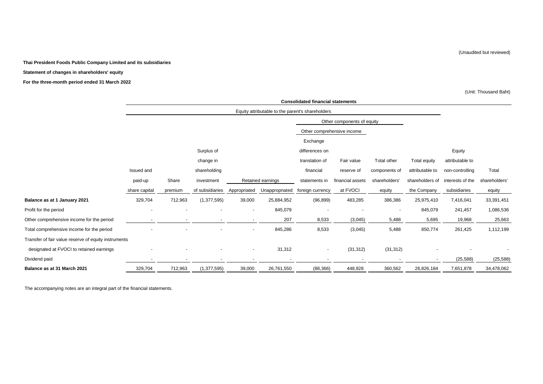# **Statement of changes in shareholders' equity**

**For the three-month period ended 31 March 2022**

(Unit: Thousand Baht)

|                                                      |               |         |                 |              |                                                  | <b>Consolidated financial statements</b> |                            |               |                 |                  |               |
|------------------------------------------------------|---------------|---------|-----------------|--------------|--------------------------------------------------|------------------------------------------|----------------------------|---------------|-----------------|------------------|---------------|
|                                                      |               |         |                 |              | Equity attributable to the parent's shareholders |                                          |                            |               |                 |                  |               |
|                                                      |               |         |                 |              |                                                  |                                          | Other components of equity |               |                 |                  |               |
|                                                      |               |         |                 |              |                                                  |                                          | Other comprehensive income |               |                 |                  |               |
|                                                      |               |         |                 |              |                                                  | Exchange                                 |                            |               |                 |                  |               |
|                                                      |               |         | Surplus of      |              |                                                  | differences on                           |                            |               |                 | Equity           |               |
|                                                      |               |         | change in       |              |                                                  | translation of                           | Fair value                 | Total other   | Total equity    | attributable to  |               |
|                                                      | Issued and    |         | shareholding    |              |                                                  | financial                                | reserve of                 | components of | attributable to | non-controlling  | Total         |
|                                                      | paid-up       | Share   | investment      |              | Retained earnings                                | statements in                            | financial assets           | shareholders' | shareholders of | interests of the | shareholders' |
|                                                      | share capital | premium | of subsidiaries | Appropriated | Unappropriated                                   | foreign currency                         | at FVOCI                   | equity        | the Company     | subsidiaries     | equity        |
| Balance as at 1 January 2021                         | 329,704       | 712,963 | (1, 377, 595)   | 39,000       | 25,884,952                                       | (96, 899)                                | 483,285                    | 386,386       | 25,975,410      | 7,416,041        | 33,391,451    |
| Profit for the period                                |               |         |                 |              | 845,079                                          |                                          |                            |               | 845,079         | 241,457          | 1,086,536     |
| Other comprehensive income for the period            |               |         |                 |              | 207                                              | 8,533                                    | (3,045)                    | 5,488         | 5,695           | 19,968           | 25,663        |
| Total comprehensive income for the period            |               |         |                 | $\sim$       | 845,286                                          | 8,533                                    | (3,045)                    | 5,488         | 850,774         | 261,425          | 1,112,199     |
| Transfer of fair value reserve of equity instruments |               |         |                 |              |                                                  |                                          |                            |               |                 |                  |               |
| designated at FVOCI to retained earnings             |               |         |                 |              | 31,312                                           | $\overline{\phantom{a}}$                 | (31, 312)                  | (31, 312)     |                 |                  |               |
| Dividend paid                                        |               |         |                 |              |                                                  |                                          |                            |               |                 | (25, 588)        | (25, 588)     |
| Balance as at 31 March 2021                          | 329,704       | 712,963 | (1, 377, 595)   | 39,000       | 26,761,550                                       | (88, 366)                                | 448,928                    | 360,562       | 26,826,184      | 7,651,878        | 34,478,062    |

The accompanying notes are an integral part of the financial statements.

(Unaudited but reviewed)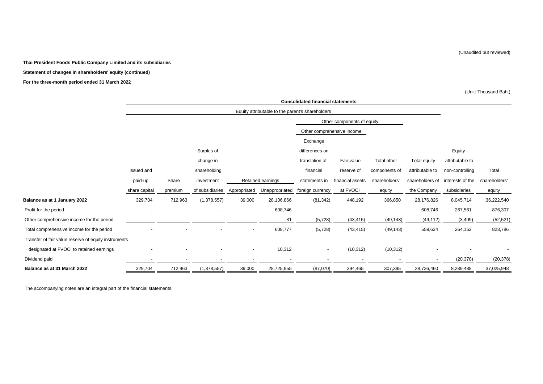# **Statement of changes in shareholders' equity (continued)**

### **For the three-month period ended 31 March 2022**

(Unit: Thousand Baht)

|                                                      |               |         |                          |                |                   | <b>Consolidated financial statements</b>         |                            |                          |                 |                  |               |
|------------------------------------------------------|---------------|---------|--------------------------|----------------|-------------------|--------------------------------------------------|----------------------------|--------------------------|-----------------|------------------|---------------|
|                                                      |               |         |                          |                |                   | Equity attributable to the parent's shareholders |                            |                          |                 |                  |               |
|                                                      |               |         |                          |                |                   |                                                  | Other components of equity |                          |                 |                  |               |
|                                                      |               |         |                          |                |                   | Other comprehensive income                       |                            |                          |                 |                  |               |
|                                                      |               |         |                          |                |                   | Exchange                                         |                            |                          |                 |                  |               |
|                                                      |               |         | Surplus of               |                |                   | differences on                                   |                            |                          |                 | Equity           |               |
|                                                      |               |         | change in                |                |                   | translation of                                   | Fair value                 | Total other              | Total equity    | attributable to  |               |
|                                                      | Issued and    |         | shareholding             |                |                   | financial                                        | reserve of                 | components of            | attributable to | non-controlling  | Total         |
|                                                      | paid-up       | Share   | investment               |                | Retained earnings | statements in                                    | financial assets           | shareholders'            | shareholders of | interests of the | shareholders' |
|                                                      | share capital | premium | of subsidiaries          | Appropriated   | Unappropriated    | foreign currency                                 | at FVOCI                   | equity                   | the Company     | subsidiaries     | equity        |
| Balance as at 1 January 2022                         | 329,704       | 712,963 | (1,378,557)              | 39,000         | 28,106,866        | (81, 342)                                        | 448,192                    | 366,850                  | 28,176,826      | 8,045,714        | 36,222,540    |
| Profit for the period                                |               |         |                          |                | 608,746           |                                                  |                            | $\overline{\phantom{a}}$ | 608,746         | 267,561          | 876,307       |
| Other comprehensive income for the period            |               |         | $\overline{\phantom{a}}$ |                | 31                | (5,728)                                          | (43, 415)                  | (49, 143)                | (49, 112)       | (3, 409)         | (52, 521)     |
| Total comprehensive income for the period            |               |         |                          | $\blacksquare$ | 608,777           | (5, 728)                                         | (43, 415)                  | (49, 143)                | 559,634         | 264,152          | 823,786       |
| Transfer of fair value reserve of equity instruments |               |         |                          |                |                   |                                                  |                            |                          |                 |                  |               |
| designated at FVOCI to retained earnings             |               |         |                          |                | 10,312            | $\overline{\phantom{a}}$                         | (10, 312)                  | (10, 312)                |                 |                  |               |
| Dividend paid                                        |               |         |                          |                |                   |                                                  |                            |                          |                 | (20, 378)        | (20, 378)     |
| Balance as at 31 March 2022                          | 329,704       | 712,963 | (1,378,557)              | 39,000         | 28,725,955        | (87,070)                                         | 394,465                    | 307,395                  | 28,736,460      | 8,289,488        | 37,025,948    |

The accompanying notes are an integral part of the financial statements.

(Unaudited but reviewed)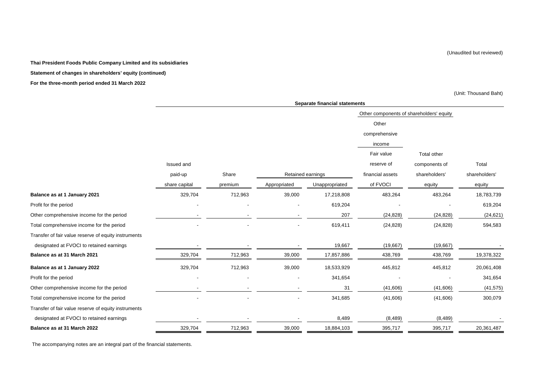#### (Unaudited but reviewed)

### **Thai President Foods Public Company Limited and its subsidiaries**

### **Statement of changes in shareholders' equity (continued)**

### **For the three-month period ended 31 March 2022**

(Unit: Thousand Baht)

|                                                      |               |         |                   | <b>Separate financial statements</b> |                                          |               |               |
|------------------------------------------------------|---------------|---------|-------------------|--------------------------------------|------------------------------------------|---------------|---------------|
|                                                      |               |         |                   |                                      | Other components of shareholders' equity |               |               |
|                                                      |               |         |                   |                                      | Other                                    |               |               |
|                                                      |               |         |                   |                                      | comprehensive                            |               |               |
|                                                      |               |         |                   |                                      | income                                   |               |               |
|                                                      |               |         |                   |                                      | Fair value                               | Total other   |               |
|                                                      | Issued and    |         |                   |                                      | reserve of                               | components of | Total         |
|                                                      | paid-up       | Share   | Retained earnings |                                      | financial assets                         | shareholders' | shareholders' |
|                                                      | share capital | premium | Appropriated      | Unappropriated                       | of FVOCI                                 | equity        | equity        |
| Balance as at 1 January 2021                         | 329,704       | 712,963 | 39,000            | 17,218,808                           | 483,264                                  | 483,264       | 18,783,739    |
| Profit for the period                                |               |         |                   | 619,204                              |                                          |               | 619,204       |
| Other comprehensive income for the period            |               |         |                   | 207                                  | (24, 828)                                | (24, 828)     | (24, 621)     |
| Total comprehensive income for the period            |               |         |                   | 619,411                              | (24, 828)                                | (24, 828)     | 594,583       |
| Transfer of fair value reserve of equity instruments |               |         |                   |                                      |                                          |               |               |
| designated at FVOCI to retained earnings             |               |         |                   | 19,667                               | (19, 667)                                | (19,667)      |               |
| Balance as at 31 March 2021                          | 329,704       | 712,963 | 39,000            | 17,857,886                           | 438,769                                  | 438,769       | 19,378,322    |
| Balance as at 1 January 2022                         | 329,704       | 712,963 | 39,000            | 18,533,929                           | 445,812                                  | 445,812       | 20,061,408    |
| Profit for the period                                |               |         |                   | 341,654                              |                                          |               | 341,654       |
| Other comprehensive income for the period            |               |         |                   | 31                                   | (41, 606)                                | (41,606)      | (41, 575)     |
| Total comprehensive income for the period            |               |         |                   | 341,685                              | (41,606)                                 | (41,606)      | 300,079       |
| Transfer of fair value reserve of equity instruments |               |         |                   |                                      |                                          |               |               |
| designated at FVOCI to retained earnings             |               |         |                   | 8,489                                | (8, 489)                                 | (8, 489)      |               |
| Balance as at 31 March 2022                          | 329,704       | 712,963 | 39,000            | 18,884,103                           | 395,717                                  | 395,717       | 20,361,487    |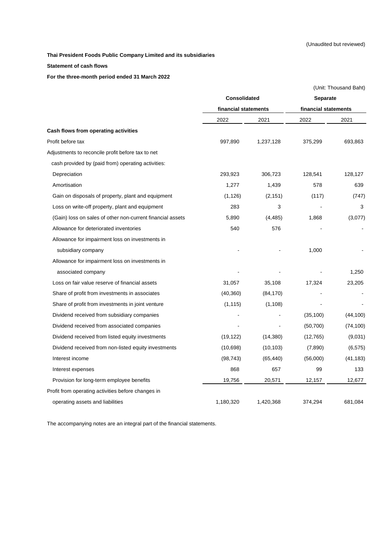# **Statement of cash flows**

**For the three-month period ended 31 March 2022**

|                                                            |                      |           |                      | (Unit: Thousand Baht) |
|------------------------------------------------------------|----------------------|-----------|----------------------|-----------------------|
|                                                            | <b>Consolidated</b>  |           | <b>Separate</b>      |                       |
|                                                            | financial statements |           | financial statements |                       |
|                                                            | 2022                 | 2021      | 2022                 | 2021                  |
| Cash flows from operating activities                       |                      |           |                      |                       |
| Profit before tax                                          | 997,890              | 1,237,128 | 375,299              | 693,863               |
| Adjustments to reconcile profit before tax to net          |                      |           |                      |                       |
| cash provided by (paid from) operating activities:         |                      |           |                      |                       |
| Depreciation                                               | 293,923              | 306,723   | 128,541              | 128,127               |
| Amortisation                                               | 1,277                | 1,439     | 578                  | 639                   |
| Gain on disposals of property, plant and equipment         | (1, 126)             | (2, 151)  | (117)                | (747)                 |
| Loss on write-off property, plant and equipment            | 283                  | 3         |                      | 3                     |
| (Gain) loss on sales of other non-current financial assets | 5,890                | (4, 485)  | 1,868                | (3,077)               |
| Allowance for deteriorated inventories                     | 540                  | 576       |                      |                       |
| Allowance for impairment loss on investments in            |                      |           |                      |                       |
| subsidiary company                                         |                      |           | 1,000                |                       |
| Allowance for impairment loss on investments in            |                      |           |                      |                       |
| associated company                                         |                      |           |                      | 1,250                 |
| Loss on fair value reserve of financial assets             | 31,057               | 35,108    | 17,324               | 23,205                |
| Share of profit from investments in associates             | (40, 360)            | (84, 170) |                      |                       |
| Share of profit from investments in joint venture          | (1, 115)             | (1, 108)  |                      |                       |
| Dividend received from subsidiary companies                |                      |           | (35, 100)            | (44, 100)             |
| Dividend received from associated companies                |                      |           | (50, 700)            | (74, 100)             |
| Dividend received from listed equity investments           | (19, 122)            | (14, 380) | (12, 765)            | (9,031)               |
| Dividend received from non-listed equity investments       | (10, 698)            | (10, 103) | (7,890)              | (6, 575)              |
| Interest income                                            | (98, 743)            | (65, 440) | (56,000)             | (41, 183)             |
| Interest expenses                                          | 868                  | 657       | 99                   | 133                   |
| Provision for long-term employee benefits                  | 19,756               | 20,571    | 12,157               | 12,677                |
| Profit from operating activities before changes in         |                      |           |                      |                       |
| operating assets and liabilities                           | 1,180,320            | 1,420,368 | 374,294              | 681,084               |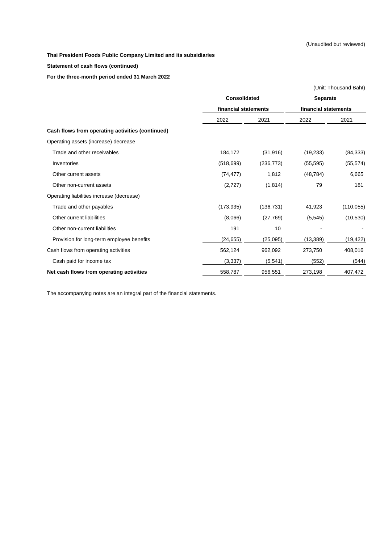**Statement of cash flows (continued)**

**For the three-month period ended 31 March 2022**

|                                                  |                                             |            |                      | (Unit: Thousand Baht) |
|--------------------------------------------------|---------------------------------------------|------------|----------------------|-----------------------|
|                                                  | <b>Consolidated</b><br>financial statements |            | <b>Separate</b>      |                       |
|                                                  |                                             |            | financial statements |                       |
|                                                  | 2022                                        | 2021       | 2022                 | 2021                  |
| Cash flows from operating activities (continued) |                                             |            |                      |                       |
| Operating assets (increase) decrease             |                                             |            |                      |                       |
| Trade and other receivables                      | 184,172                                     | (31, 916)  | (19,233)             | (84, 333)             |
| Inventories                                      | (518, 699)                                  | (236, 773) | (55, 595)            | (55, 574)             |
| Other current assets                             | (74, 477)                                   | 1,812      | (48, 784)            | 6,665                 |
| Other non-current assets                         | (2,727)                                     | (1, 814)   | 79                   | 181                   |
| Operating liabilities increase (decrease)        |                                             |            |                      |                       |
| Trade and other payables                         | (173, 935)                                  | (136, 731) | 41,923               | (110, 055)            |
| Other current liabilities                        | (8,066)                                     | (27, 769)  | (5, 545)             | (10, 530)             |
| Other non-current liabilities                    | 191                                         | 10         |                      |                       |
| Provision for long-term employee benefits        | (24, 655)                                   | (25,095)   | (13, 389)            | (19, 422)             |
| Cash flows from operating activities             | 562,124                                     | 962,092    | 273,750              | 408,016               |
| Cash paid for income tax                         | (3, 337)                                    | (5, 541)   | (552)                | (544)                 |
| Net cash flows from operating activities         | 558,787                                     | 956,551    | 273,198              | 407,472               |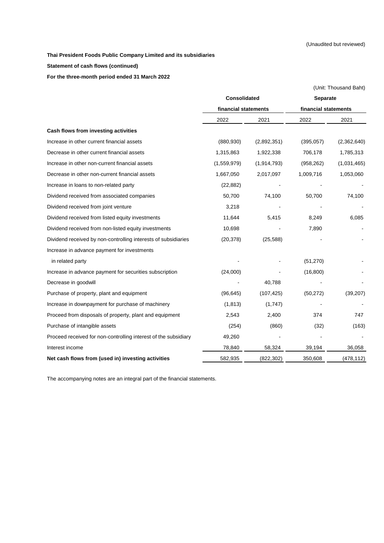**Statement of cash flows (continued)**

**For the three-month period ended 31 March 2022**

|                                                                 |                      |               |                      | (Unit: Thousand Baht) |  |
|-----------------------------------------------------------------|----------------------|---------------|----------------------|-----------------------|--|
|                                                                 | <b>Consolidated</b>  |               | <b>Separate</b>      |                       |  |
|                                                                 | financial statements |               | financial statements |                       |  |
|                                                                 | 2022                 | 2021          | 2022                 | 2021                  |  |
| Cash flows from investing activities                            |                      |               |                      |                       |  |
| Increase in other current financial assets                      | (880, 930)           | (2,892,351)   | (395, 057)           | (2,362,640)           |  |
| Decrease in other current financial assets                      | 1,315,863            | 1,922,338     | 706,178              | 1,785,313             |  |
| Increase in other non-current financial assets                  | (1,559,979)          | (1, 914, 793) | (958, 262)           | (1,031,465)           |  |
| Decrease in other non-current financial assets                  | 1,667,050            | 2,017,097     | 1,009,716            | 1,053,060             |  |
| Increase in loans to non-related party                          | (22, 882)            |               |                      |                       |  |
| Dividend received from associated companies                     | 50,700               | 74,100        | 50,700               | 74,100                |  |
| Dividend received from joint venture                            | 3,218                |               |                      |                       |  |
| Dividend received from listed equity investments                | 11,644               | 5,415         | 8,249                | 6,085                 |  |
| Dividend received from non-listed equity investments            | 10,698               |               | 7,890                |                       |  |
| Dividend received by non-controlling interests of subsidiaries  | (20, 378)            | (25, 588)     |                      |                       |  |
| Increase in advance payment for investments                     |                      |               |                      |                       |  |
| in related party                                                |                      |               | (51, 270)            |                       |  |
| Increase in advance payment for securities subscription         | (24,000)             |               | (16, 800)            |                       |  |
| Decrease in goodwill                                            |                      | 40,788        |                      |                       |  |
| Purchase of property, plant and equipment                       | (96, 645)            | (107, 425)    | (50, 272)            | (39, 207)             |  |
| Increase in downpayment for purchase of machinery               | (1, 813)             | (1,747)       |                      |                       |  |
| Proceed from disposals of property, plant and equipment         | 2,543                | 2,400         | 374                  | 747                   |  |
| Purchase of intangible assets                                   | (254)                | (860)         | (32)                 | (163)                 |  |
| Proceed received for non-controlling interest of the subsidiary | 49,260               |               |                      |                       |  |
| Interest income                                                 | 78,840               | 58,324        | 39,194               | 36,058                |  |
| Net cash flows from (used in) investing activities              | 582,935              | (822, 302)    | 350,608              | (478, 112)            |  |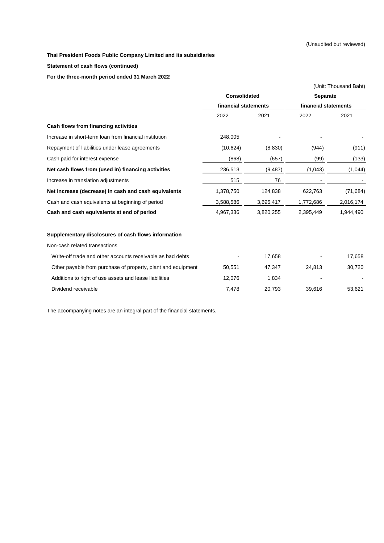**Statement of cash flows (continued)**

**For the three-month period ended 31 March 2022**

|                                                              |                      |           | (Unit: Thousand Baht)                   |           |  |
|--------------------------------------------------------------|----------------------|-----------|-----------------------------------------|-----------|--|
|                                                              | <b>Consolidated</b>  |           | <b>Separate</b><br>financial statements |           |  |
|                                                              | financial statements |           |                                         |           |  |
|                                                              | 2022                 | 2021      | 2022                                    | 2021      |  |
| Cash flows from financing activities                         |                      |           |                                         |           |  |
| Increase in short-term loan from financial institution       | 248,005              |           |                                         |           |  |
| Repayment of liabilities under lease agreements              | (10,624)             | (8,830)   | (944)                                   | (911)     |  |
| Cash paid for interest expense                               | (868)                | (657)     | (99)                                    | (133)     |  |
| Net cash flows from (used in) financing activities           | 236,513              | (9, 487)  | (1,043)                                 | (1,044)   |  |
| Increase in translation adjustments                          | 515                  | 76        |                                         |           |  |
| Net increase (decrease) in cash and cash equivalents         | 1,378,750            | 124,838   | 622,763                                 | (71, 684) |  |
| Cash and cash equivalents at beginning of period             | 3,588,586            | 3,695,417 | 1,772,686                               | 2,016,174 |  |
| Cash and cash equivalents at end of period                   | 4,967,336            | 3,820,255 | 2,395,449                               | 1,944,490 |  |
| Supplementary disclosures of cash flows information          |                      |           |                                         |           |  |
| Non-cash related transactions                                |                      |           |                                         |           |  |
| Write-off trade and other accounts receivable as bad debts   |                      | 17,658    |                                         | 17,658    |  |
| Other payable from purchase of property, plant and equipment | 50,551               | 47,347    | 24,813                                  | 30,720    |  |
| Additions to right of use assets and lease liabilities       | 12,076               | 1,834     |                                         |           |  |
| Dividend receivable                                          | 7,478                | 20,793    | 39,616                                  | 53,621    |  |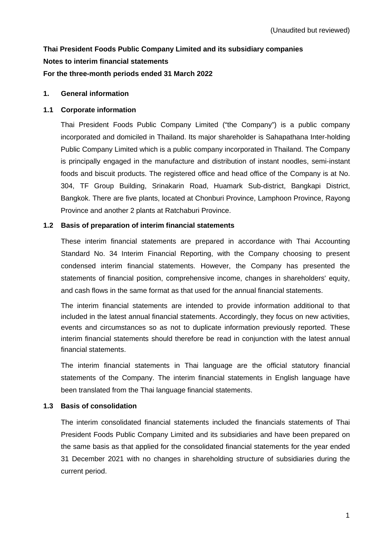# **Thai President Foods Public Company Limited and its subsidiary companies Notes to interim financial statements For the three-month periods ended 31 March 2022**

### **1. General information**

#### **1.1 Corporate information**

Thai President Foods Public Company Limited ("the Company") is a public company incorporated and domiciled in Thailand. Its major shareholder is Sahapathana Inter-holding Public Company Limited which is a public company incorporated in Thailand. The Company is principally engaged in the manufacture and distribution of instant noodles, semi-instant foods and biscuit products. The registered office and head office of the Company is at No. 304, TF Group Building, Srinakarin Road, Huamark Sub-district, Bangkapi District, Bangkok. There are five plants, located at Chonburi Province, Lamphoon Province, Rayong Province and another 2 plants at Ratchaburi Province.

#### **1.2 Basis of preparation of interim financial statements**

These interim financial statements are prepared in accordance with Thai Accounting Standard No. 34 Interim Financial Reporting, with the Company choosing to present condensed interim financial statements. However, the Company has presented the statements of financial position, comprehensive income, changes in shareholders' equity, and cash flows in the same format as that used for the annual financial statements.

The interim financial statements are intended to provide information additional to that included in the latest annual financial statements. Accordingly, they focus on new activities, events and circumstances so as not to duplicate information previously reported. These interim financial statements should therefore be read in conjunction with the latest annual financial statements.

The interim financial statements in Thai language are the official statutory financial statements of the Company. The interim financial statements in English language have been translated from the Thai language financial statements.

### **1.3 Basis of consolidation**

The interim consolidated financial statements included the financials statements of Thai President Foods Public Company Limited and its subsidiaries and have been prepared on the same basis as that applied for the consolidated financial statements for the year ended 31 December 2021 with no changes in shareholding structure of subsidiaries during the current period.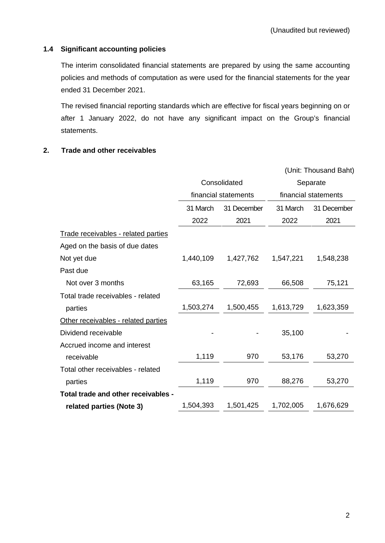# **1.4 Significant accounting policies**

The interim consolidated financial statements are prepared by using the same accounting policies and methods of computation as were used for the financial statements for the year ended 31 December 2021.

The revised financial reporting standards which are effective for fiscal years beginning on or after 1 January 2022, do not have any significant impact on the Group's financial statements.

### **2. Trade and other receivables**

|                                     |           | (Unit: Thousand Baht) |                      |             |  |  |
|-------------------------------------|-----------|-----------------------|----------------------|-------------|--|--|
|                                     |           | Consolidated          | Separate             |             |  |  |
|                                     |           | financial statements  | financial statements |             |  |  |
|                                     | 31 March  | 31 December           | 31 March             | 31 December |  |  |
|                                     | 2022      | 2021                  | 2022                 | 2021        |  |  |
| Trade receivables - related parties |           |                       |                      |             |  |  |
| Aged on the basis of due dates      |           |                       |                      |             |  |  |
| Not yet due                         | 1,440,109 | 1,427,762             | 1,547,221            | 1,548,238   |  |  |
| Past due                            |           |                       |                      |             |  |  |
| Not over 3 months                   | 63,165    | 72,693                | 66,508               | 75,121      |  |  |
| Total trade receivables - related   |           |                       |                      |             |  |  |
| parties                             | 1,503,274 | 1,500,455             | 1,613,729            | 1,623,359   |  |  |
| Other receivables - related parties |           |                       |                      |             |  |  |
| Dividend receivable                 |           |                       | 35,100               |             |  |  |
| Accrued income and interest         |           |                       |                      |             |  |  |
| receivable                          | 1,119     | 970                   | 53,176               | 53,270      |  |  |
| Total other receivables - related   |           |                       |                      |             |  |  |
| parties                             | 1,119     | 970                   | 88,276               | 53,270      |  |  |
| Total trade and other receivables - |           |                       |                      |             |  |  |
| related parties (Note 3)            | 1,504,393 | 1,501,425             | 1,702,005            | 1,676,629   |  |  |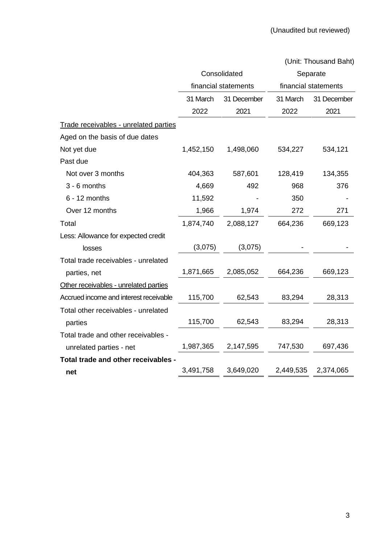|                                        |           | Consolidated         | Separate             |             |  |
|----------------------------------------|-----------|----------------------|----------------------|-------------|--|
|                                        |           | financial statements | financial statements |             |  |
|                                        | 31 March  | 31 December          | 31 March             | 31 December |  |
|                                        | 2022      | 2021                 | 2022                 | 2021        |  |
| Trade receivables - unrelated parties  |           |                      |                      |             |  |
| Aged on the basis of due dates         |           |                      |                      |             |  |
| Not yet due                            | 1,452,150 | 1,498,060            | 534,227              | 534,121     |  |
| Past due                               |           |                      |                      |             |  |
| Not over 3 months                      | 404,363   | 587,601              | 128,419              | 134,355     |  |
| 3 - 6 months                           | 4,669     | 492                  | 968                  | 376         |  |
| $6 - 12$ months                        | 11,592    |                      | 350                  |             |  |
| Over 12 months                         | 1,966     | 1,974                | 272                  | 271         |  |
| Total                                  | 1,874,740 | 2,088,127            | 664,236              | 669,123     |  |
| Less: Allowance for expected credit    |           |                      |                      |             |  |
| losses                                 | (3,075)   | (3,075)              |                      |             |  |
| Total trade receivables - unrelated    |           |                      |                      |             |  |
| parties, net                           | 1,871,665 | 2,085,052            | 664,236              | 669,123     |  |
| Other receivables - unrelated parties  |           |                      |                      |             |  |
| Accrued income and interest receivable | 115,700   | 62,543               | 83,294               | 28,313      |  |
| Total other receivables - unrelated    |           |                      |                      |             |  |
| parties                                | 115,700   | 62,543               | 83,294               | 28,313      |  |
| Total trade and other receivables -    |           |                      |                      |             |  |
| unrelated parties - net                | 1,987,365 | 2,147,595            | 747,530              | 697,436     |  |
| Total trade and other receivables -    |           |                      |                      |             |  |
| net                                    | 3,491,758 | 3,649,020            | 2,449,535            | 2,374,065   |  |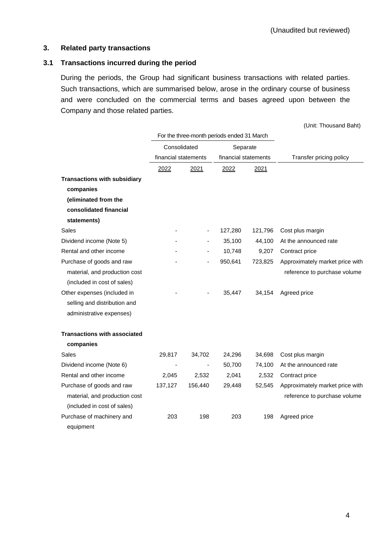### **3. Related party transactions**

# **3.1 Transactions incurred during the period**

During the periods, the Group had significant business transactions with related parties. Such transactions, which are summarised below, arose in the ordinary course of business and were concluded on the commercial terms and bases agreed upon between the Company and those related parties.

|                                     |                      |                          | For the three-month periods ended 31 March |         |                                 |  |  |
|-------------------------------------|----------------------|--------------------------|--------------------------------------------|---------|---------------------------------|--|--|
|                                     | Consolidated         |                          | Separate                                   |         |                                 |  |  |
|                                     | financial statements |                          | financial statements                       |         | Transfer pricing policy         |  |  |
|                                     | 2022                 | 2021                     | 2022                                       | 2021    |                                 |  |  |
| <b>Transactions with subsidiary</b> |                      |                          |                                            |         |                                 |  |  |
| companies                           |                      |                          |                                            |         |                                 |  |  |
| (eliminated from the                |                      |                          |                                            |         |                                 |  |  |
| consolidated financial              |                      |                          |                                            |         |                                 |  |  |
| statements)                         |                      |                          |                                            |         |                                 |  |  |
| Sales                               |                      | $\overline{\phantom{a}}$ | 127,280                                    | 121,796 | Cost plus margin                |  |  |
| Dividend income (Note 5)            |                      |                          | 35,100                                     | 44,100  | At the announced rate           |  |  |
| Rental and other income             |                      |                          | 10,748                                     | 9,207   | Contract price                  |  |  |
| Purchase of goods and raw           |                      |                          | 950,641                                    | 723,825 | Approximately market price with |  |  |
| material, and production cost       |                      |                          |                                            |         | reference to purchase volume    |  |  |
| (included in cost of sales)         |                      |                          |                                            |         |                                 |  |  |
| Other expenses (included in         |                      |                          | 35,447                                     | 34,154  | Agreed price                    |  |  |
| selling and distribution and        |                      |                          |                                            |         |                                 |  |  |
| administrative expenses)            |                      |                          |                                            |         |                                 |  |  |
| <b>Transactions with associated</b> |                      |                          |                                            |         |                                 |  |  |
| companies                           |                      |                          |                                            |         |                                 |  |  |
| Sales                               | 29,817               | 34,702                   | 24,296                                     | 34,698  | Cost plus margin                |  |  |
| Dividend income (Note 6)            |                      |                          | 50,700                                     | 74,100  | At the announced rate           |  |  |
| Rental and other income             | 2,045                | 2,532                    | 2,041                                      | 2,532   | Contract price                  |  |  |
| Purchase of goods and raw           | 137,127              | 156,440                  | 29,448                                     | 52,545  | Approximately market price with |  |  |
| material, and production cost       |                      |                          |                                            |         | reference to purchase volume    |  |  |
| (included in cost of sales)         |                      |                          |                                            |         |                                 |  |  |
| Purchase of machinery and           | 203                  | 198                      | 203                                        | 198     | Agreed price                    |  |  |
| equipment                           |                      |                          |                                            |         |                                 |  |  |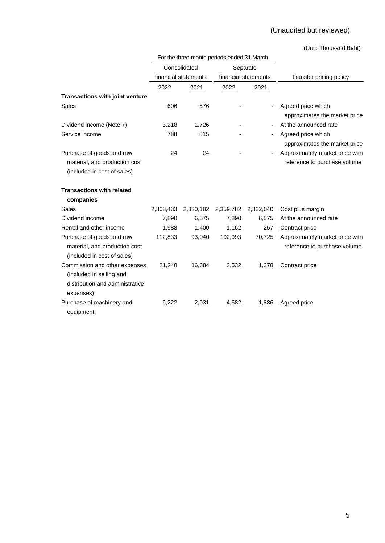# (Unaudited but reviewed)

|                                        |           | For the three-month periods ended 31 March |           |                      |                                 |
|----------------------------------------|-----------|--------------------------------------------|-----------|----------------------|---------------------------------|
|                                        |           | Consolidated                               |           | Separate             |                                 |
|                                        |           | financial statements                       |           | financial statements | Transfer pricing policy         |
|                                        | 2022      | 2021                                       | 2022      | 2021                 |                                 |
| <b>Transactions with joint venture</b> |           |                                            |           |                      |                                 |
| <b>Sales</b>                           | 606       | 576                                        |           |                      | Agreed price which              |
|                                        |           |                                            |           |                      | approximates the market price   |
| Dividend income (Note 7)               | 3,218     | 1,726                                      |           |                      | At the announced rate           |
| Service income                         | 788       | 815                                        |           |                      | Agreed price which              |
|                                        |           |                                            |           |                      | approximates the market price   |
| Purchase of goods and raw              | 24        | 24                                         |           |                      | Approximately market price with |
| material, and production cost          |           |                                            |           |                      | reference to purchase volume    |
| (included in cost of sales)            |           |                                            |           |                      |                                 |
| <b>Transactions with related</b>       |           |                                            |           |                      |                                 |
| companies                              |           |                                            |           |                      |                                 |
| Sales                                  | 2,368,433 | 2,330,182                                  | 2,359,782 | 2,322,040            | Cost plus margin                |
| Dividend income                        | 7,890     | 6,575                                      | 7,890     | 6,575                | At the announced rate           |
| Rental and other income                | 1,988     | 1,400                                      | 1,162     | 257                  | Contract price                  |
| Purchase of goods and raw              | 112,833   | 93,040                                     | 102,993   | 70,725               | Approximately market price with |
| material, and production cost          |           |                                            |           |                      | reference to purchase volume    |
| (included in cost of sales)            |           |                                            |           |                      |                                 |
| Commission and other expenses          | 21,248    | 16,684                                     | 2,532     | 1,378                | Contract price                  |
| (included in selling and               |           |                                            |           |                      |                                 |
| distribution and administrative        |           |                                            |           |                      |                                 |
| expenses)                              |           |                                            |           |                      |                                 |
| Purchase of machinery and              | 6,222     | 2,031                                      | 4,582     | 1,886                | Agreed price                    |
| equipment                              |           |                                            |           |                      |                                 |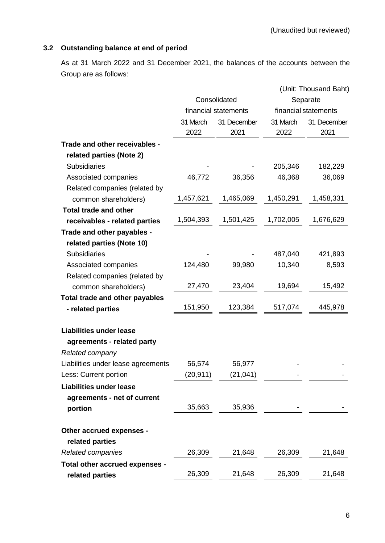# **3.2 Outstanding balance at end of period**

As at 31 March 2022 and 31 December 2021, the balances of the accounts between the Group are as follows:

|                                             |           | Consolidated<br>financial statements |           | (Unit: Thousand Baht)<br>Separate<br>financial statements |  |
|---------------------------------------------|-----------|--------------------------------------|-----------|-----------------------------------------------------------|--|
|                                             | 31 March  | 31 December                          | 31 March  | 31 December                                               |  |
|                                             | 2022      | 2021                                 | 2022      | 2021                                                      |  |
| Trade and other receivables -               |           |                                      |           |                                                           |  |
| related parties (Note 2)                    |           |                                      |           |                                                           |  |
| <b>Subsidiaries</b>                         |           |                                      | 205,346   | 182,229                                                   |  |
| Associated companies                        | 46,772    | 36,356                               | 46,368    | 36,069                                                    |  |
| Related companies (related by               |           |                                      |           |                                                           |  |
| common shareholders)                        | 1,457,621 | 1,465,069                            | 1,450,291 | 1,458,331                                                 |  |
| <b>Total trade and other</b>                |           |                                      |           |                                                           |  |
| receivables - related parties               | 1,504,393 | 1,501,425                            | 1,702,005 | 1,676,629                                                 |  |
| Trade and other payables -                  |           |                                      |           |                                                           |  |
| related parties (Note 10)                   |           |                                      |           |                                                           |  |
| <b>Subsidiaries</b>                         |           |                                      | 487,040   | 421,893                                                   |  |
| Associated companies                        | 124,480   | 99,980                               | 10,340    | 8,593                                                     |  |
| Related companies (related by               |           |                                      |           |                                                           |  |
| common shareholders)                        | 27,470    | 23,404                               | 19,694    | 15,492                                                    |  |
| Total trade and other payables              |           |                                      |           |                                                           |  |
| - related parties                           | 151,950   | 123,384                              | 517,074   | 445,978                                                   |  |
| <b>Liabilities under lease</b>              |           |                                      |           |                                                           |  |
| agreements - related party                  |           |                                      |           |                                                           |  |
| Related company                             |           |                                      |           |                                                           |  |
| Liabilities under lease agreements          | 56,574    | 56,977                               |           |                                                           |  |
| Less: Current portion                       | (20, 911) | (21, 041)                            |           |                                                           |  |
| <b>Liabilities under lease</b>              |           |                                      |           |                                                           |  |
| agreements - net of current                 |           |                                      |           |                                                           |  |
| portion                                     | 35,663    | 35,936                               |           |                                                           |  |
| Other accrued expenses -<br>related parties |           |                                      |           |                                                           |  |
| Related companies                           | 26,309    | 21,648                               | 26,309    | 21,648                                                    |  |
| Total other accrued expenses -              |           |                                      |           |                                                           |  |
| related parties                             | 26,309    | 21,648                               | 26,309    | 21,648                                                    |  |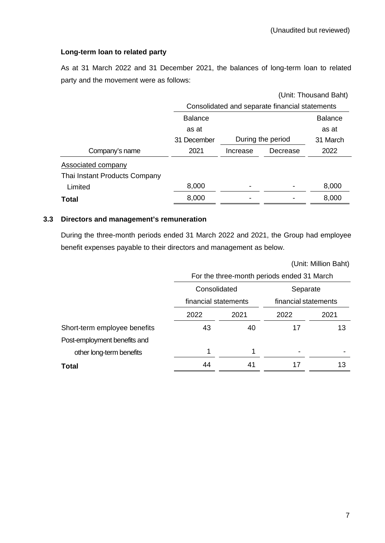(Unit: Million Baht)

# **Long-term loan to related party**

As at 31 March 2022 and 31 December 2021, the balances of long-term loan to related party and the movement were as follows:

|                               | (Unit: Thousand Baht)                          |          |                   |                |  |  |  |  |
|-------------------------------|------------------------------------------------|----------|-------------------|----------------|--|--|--|--|
|                               | Consolidated and separate financial statements |          |                   |                |  |  |  |  |
|                               | <b>Balance</b>                                 |          |                   | <b>Balance</b> |  |  |  |  |
|                               | as at                                          |          |                   | as at          |  |  |  |  |
|                               | 31 December                                    |          | During the period | 31 March       |  |  |  |  |
| Company's name                | 2021                                           | Increase | Decrease          | 2022           |  |  |  |  |
| Associated company            |                                                |          |                   |                |  |  |  |  |
| Thai Instant Products Company |                                                |          |                   |                |  |  |  |  |
| Limited                       | 8,000                                          |          |                   | 8,000          |  |  |  |  |
| Total                         | 8,000                                          |          |                   | 8,000          |  |  |  |  |
|                               |                                                |          |                   |                |  |  |  |  |

# **3.3 Directors and management's remuneration**

During the three-month periods ended 31 March 2022 and 2021, the Group had employee benefit expenses payable to their directors and management as below.

|                              | For the three-month periods ended 31 March |    |                      |      |  |  |  |  |
|------------------------------|--------------------------------------------|----|----------------------|------|--|--|--|--|
|                              | Consolidated                               |    | Separate             |      |  |  |  |  |
|                              | financial statements                       |    | financial statements |      |  |  |  |  |
|                              | 2022<br>2021                               |    | 2022                 | 2021 |  |  |  |  |
| Short-term employee benefits | 43                                         | 40 | 17                   | 13   |  |  |  |  |
| Post-employment benefits and |                                            |    |                      |      |  |  |  |  |
| other long-term benefits     | 1                                          |    |                      |      |  |  |  |  |
| <b>Total</b>                 | 44                                         | 41 | 17                   | 13   |  |  |  |  |
|                              |                                            |    |                      |      |  |  |  |  |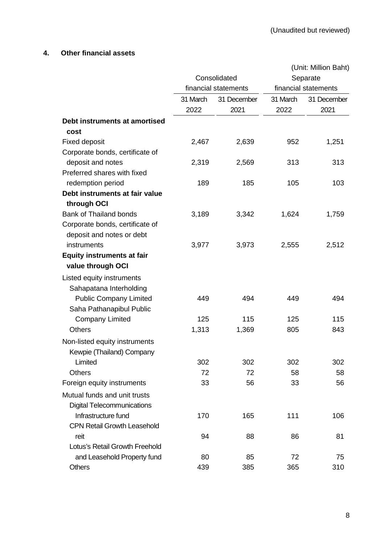# **4. Other financial assets**

|                                    |          |                      | (Unit: Million Baht)             |             |  |  |  |
|------------------------------------|----------|----------------------|----------------------------------|-------------|--|--|--|
|                                    |          | Consolidated         | Separate<br>financial statements |             |  |  |  |
|                                    |          | financial statements |                                  |             |  |  |  |
|                                    | 31 March | 31 December          | 31 March                         | 31 December |  |  |  |
|                                    | 2022     | 2021                 | 2022                             | 2021        |  |  |  |
| Debt instruments at amortised      |          |                      |                                  |             |  |  |  |
| cost                               |          |                      |                                  |             |  |  |  |
| <b>Fixed deposit</b>               | 2,467    | 2,639                | 952                              | 1,251       |  |  |  |
| Corporate bonds, certificate of    |          |                      |                                  |             |  |  |  |
| deposit and notes                  | 2,319    | 2,569                | 313                              | 313         |  |  |  |
| Preferred shares with fixed        |          |                      |                                  |             |  |  |  |
| redemption period                  | 189      | 185                  | 105                              | 103         |  |  |  |
| Debt instruments at fair value     |          |                      |                                  |             |  |  |  |
| through OCI                        |          |                      |                                  |             |  |  |  |
| <b>Bank of Thailand bonds</b>      | 3,189    | 3,342                | 1,624                            | 1,759       |  |  |  |
| Corporate bonds, certificate of    |          |                      |                                  |             |  |  |  |
| deposit and notes or debt          |          |                      |                                  |             |  |  |  |
| instruments                        | 3,977    | 3,973                | 2,555                            | 2,512       |  |  |  |
| <b>Equity instruments at fair</b>  |          |                      |                                  |             |  |  |  |
| value through OCI                  |          |                      |                                  |             |  |  |  |
| Listed equity instruments          |          |                      |                                  |             |  |  |  |
| Sahapatana Interholding            |          |                      |                                  |             |  |  |  |
| <b>Public Company Limited</b>      | 449      | 494                  | 449                              | 494         |  |  |  |
| Saha Pathanapibul Public           |          |                      |                                  |             |  |  |  |
| <b>Company Limited</b>             | 125      | 115                  | 125                              | 115         |  |  |  |
| <b>Others</b>                      | 1,313    | 1,369                | 805                              | 843         |  |  |  |
| Non-listed equity instruments      |          |                      |                                  |             |  |  |  |
| Kewpie (Thailand) Company          |          |                      |                                  |             |  |  |  |
| Limited                            | 302      | 302                  | 302                              | 302         |  |  |  |
| <b>Others</b>                      | 72       | 72                   | 58                               | 58          |  |  |  |
| Foreign equity instruments         | 33       | 56                   | 33                               | 56          |  |  |  |
| Mutual funds and unit trusts       |          |                      |                                  |             |  |  |  |
| <b>Digital Telecommunications</b>  |          |                      |                                  |             |  |  |  |
| Infrastructure fund                | 170      | 165                  | 111                              | 106         |  |  |  |
| <b>CPN Retail Growth Leasehold</b> |          |                      |                                  |             |  |  |  |
| reit                               | 94       | 88                   | 86                               | 81          |  |  |  |
| Lotus's Retail Growth Freehold     |          |                      |                                  |             |  |  |  |
| and Leasehold Property fund        | 80       | 85                   | 72                               | 75          |  |  |  |
| Others                             | 439      | 385                  | 365                              | 310         |  |  |  |
|                                    |          |                      |                                  |             |  |  |  |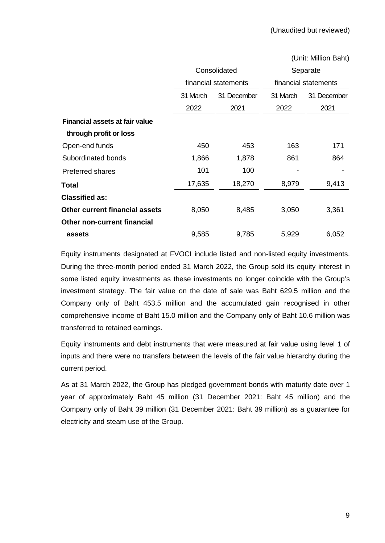|                                       |          | (Unit: Million Baht) |                      |             |  |  |
|---------------------------------------|----------|----------------------|----------------------|-------------|--|--|
|                                       |          | Consolidated         | Separate             |             |  |  |
|                                       |          | financial statements | financial statements |             |  |  |
|                                       | 31 March | 31 December          | 31 March             | 31 December |  |  |
|                                       | 2022     | 2021                 | 2022                 | 2021        |  |  |
| <b>Financial assets at fair value</b> |          |                      |                      |             |  |  |
| through profit or loss                |          |                      |                      |             |  |  |
| Open-end funds                        | 450      | 453                  | 163                  | 171         |  |  |
| Subordinated bonds                    | 1,866    | 1,878                | 861                  | 864         |  |  |
| <b>Preferred shares</b>               | 101      | 100                  |                      |             |  |  |
| Total                                 | 17,635   | 18,270               | 8,979                | 9,413       |  |  |
| <b>Classified as:</b>                 |          |                      |                      |             |  |  |
| <b>Other current financial assets</b> | 8,050    | 8,485                | 3,050                | 3,361       |  |  |
| Other non-current financial           |          |                      |                      |             |  |  |
| assets                                | 9,585    | 9,785                | 5,929                | 6,052       |  |  |

Equity instruments designated at FVOCI include listed and non-listed equity investments. During the three-month period ended 31 March 2022, the Group sold its equity interest in some listed equity investments as these investments no longer coincide with the Group's investment strategy. The fair value on the date of sale was Baht 629.5 million and the Company only of Baht 453.5 million and the accumulated gain recognised in other comprehensive income of Baht 15.0 million and the Company only of Baht 10.6 million was transferred to retained earnings.

Equity instruments and debt instruments that were measured at fair value using level 1 of inputs and there were no transfers between the levels of the fair value hierarchy during the current period.

As at 31 March 2022, the Group has pledged government bonds with maturity date over 1 year of approximately Baht 45 million (31 December 2021: Baht 45 million) and the Company only of Baht 39 million (31 December 2021: Baht 39 million) as a guarantee for electricity and steam use of the Group.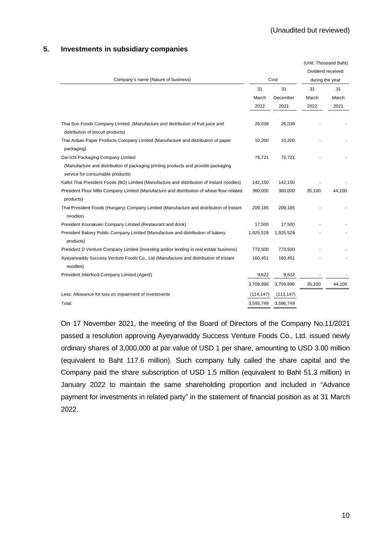#### **5. Investments in subsidiary companies**

|                                                                                                                        |            |            | (Unit: Thousand Baht) |        |
|------------------------------------------------------------------------------------------------------------------------|------------|------------|-----------------------|--------|
|                                                                                                                        |            |            | Dividend received     |        |
| Company's name (Nature of business)                                                                                    |            | Cost       | during the year       |        |
|                                                                                                                        | 31         | 31         | 31                    | 31     |
|                                                                                                                        | March      | December   | March                 | March  |
|                                                                                                                        | 2022       | 2021       | 2022                  | 2021   |
|                                                                                                                        |            |            |                       |        |
| Thai Sun Foods Company Limited (Manufacture and distribution of fruit juice and                                        | 26,038     | 26,038     |                       |        |
| distribution of biscuit products)                                                                                      |            |            |                       |        |
| Thai Anbao Paper Products Company Limited (Manufacture and distribution of paper<br>packaging)                         | 10,200     | 10,200     |                       |        |
| Dai-Ichi Packaging Company Limited                                                                                     | 75,721     | 75,721     |                       |        |
| (Manufacture and distribution of packaging printing products and provide packaging<br>service for consumable products) |            |            |                       |        |
| Kallol Thai President Foods (BD) Limited (Manufacture and distribution of instant noodles)                             | 142,150    | 142,150    |                       |        |
| President Flour Mills Company Limited (Manufacture and distribution of wheat flour-related<br>products)                | 360,000    | 360,000    | 35,100                | 44,100 |
| Thai President Foods (Hungary) Company Limited (Manufacture and distribution of instant                                | 209,185    | 209,185    |                       |        |
| noodles)                                                                                                               |            |            |                       |        |
| President Kourakuen Company Limited (Restaurant and drink)                                                             | 17,500     | 17,500     |                       |        |
| President Bakery Public Company Limited (Manufacture and distribution of bakery<br>products)                           | 1,925,529  | 1,925,529  |                       |        |
| President D Venture Company Limited (Investing and/or lending in real estate business)                                 | 773,500    | 773,500    |                       |        |
| Ayeyarwaddy Success Venture Foods Co., Ltd (Manufacture and distribution of instant<br>noodles)                        | 160,451    | 160,451    |                       |        |
| President Interfood Company Limited (Agent)                                                                            | 9,622      | 9,622      |                       |        |
|                                                                                                                        | 3,709,896  | 3,709,896  | 35,100                | 44,100 |
| Less: Allowance for loss on impairment of investments                                                                  | (114, 147) | (113, 147) |                       |        |
| Total                                                                                                                  | 3,595,749  | 3,596,749  |                       |        |

On 17 November 2021, the meeting of the Board of Directors of the Company No.11/2021 passed a resolution approving Ayeyarwaddy Success Venture Foods Co., Ltd. issued newly ordinary shares of 3,000,000 at par value of USD 1 per share, amounting to USD 3.00 million (equivalent to Baht 117.6 million). Such company fully called the share capital and the Company paid the share subscription of USD 1.5 million (equivalent to Baht 51.3 million) in January 2022 to maintain the same shareholding proportion and included in "Advance payment for investments in related party" in the statement of financial position as at 31 March 2022.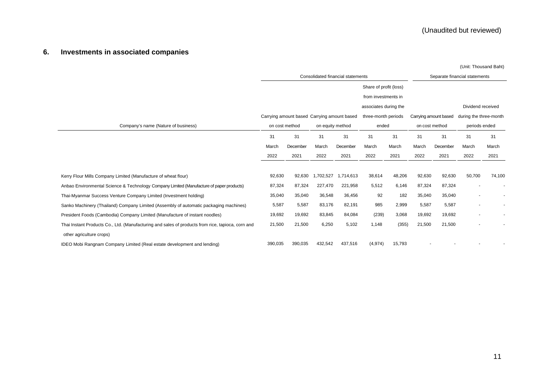# **6. Investments in associated companies**

|                                                                                                   | Consolidated financial statements |                                             |                  |           | Separate financial statements |        |                       |          |                        |        |
|---------------------------------------------------------------------------------------------------|-----------------------------------|---------------------------------------------|------------------|-----------|-------------------------------|--------|-----------------------|----------|------------------------|--------|
|                                                                                                   |                                   |                                             |                  |           | Share of profit (loss)        |        |                       |          |                        |        |
|                                                                                                   |                                   |                                             |                  |           | from investments in           |        |                       |          |                        |        |
|                                                                                                   |                                   |                                             |                  |           | associates during the         |        |                       |          | Dividend received      |        |
|                                                                                                   |                                   | Carrying amount based Carrying amount based |                  |           | three-month periods           |        | Carrying amount based |          | during the three-month |        |
| Company's name (Nature of business)                                                               | on cost method                    |                                             | on equity method |           | ended                         |        | on cost method        |          | periods ended          |        |
|                                                                                                   | 31                                | 31                                          | 31               | 31        | 31                            | 31     | 31                    | 31       | 31                     | 31     |
|                                                                                                   | March                             | December                                    | March            | December  | March                         | March  | March                 | December | March                  | March  |
|                                                                                                   | 2022                              | 2021                                        | 2022             | 2021      | 2022                          | 2021   | 2022                  | 2021     | 2022                   | 2021   |
|                                                                                                   |                                   |                                             |                  |           |                               |        |                       |          |                        |        |
| Kerry Flour Mills Company Limited (Manufacture of wheat flour)                                    | 92,630                            | 92,630                                      | 1,702,527        | 1,714,613 | 38,614                        | 48,206 | 92,630                | 92,630   | 50,700                 | 74,100 |
| Anbao Environmental Science & Technology Company Limited (Manufacture of paper products)          | 87,324                            | 87,324                                      | 227,470          | 221,958   | 5,512                         | 6,146  | 87,324                | 87,324   |                        |        |
| Thai-Myanmar Success Venture Company Limited (Investment holding)                                 | 35,040                            | 35,040                                      | 36,548           | 36,456    | 92                            | 182    | 35,040                | 35,040   |                        |        |
| Sanko Machinery (Thailand) Company Limited (Assembly of automatic packaging machines)             | 5,587                             | 5,587                                       | 83,176           | 82,191    | 985                           | 2,999  | 5,587                 | 5,587    |                        |        |
| President Foods (Cambodia) Company Limited (Manufacture of instant noodles)                       | 19,692                            | 19,692                                      | 83,845           | 84,084    | (239)                         | 3,068  | 19,692                | 19,692   |                        | ٠      |
| Thai Instant Products Co., Ltd. (Manufacturing and sales of products from rice, tapioca, corn and | 21,500                            | 21,500                                      | 6,250            | 5,102     | 1.148                         | (355)  | 21,500                | 21,500   |                        |        |
| other agriculture crops)                                                                          |                                   |                                             |                  |           |                               |        |                       |          |                        |        |
| IDEO Mobi Rangnam Company Limited (Real estate development and lending)                           | 390,035                           | 390,035                                     | 432,542          | 437,516   | (4, 974)                      | 15,793 |                       |          |                        |        |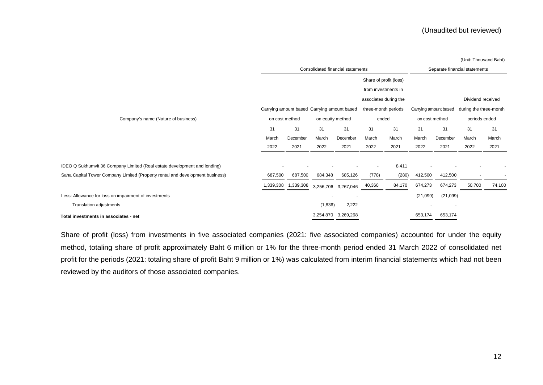(Unit: Thousand Baht)

|                                                                               | Consolidated financial statements |                                             |                  |                     |                       | Separate financial statements |                       |                          |                        |        |
|-------------------------------------------------------------------------------|-----------------------------------|---------------------------------------------|------------------|---------------------|-----------------------|-------------------------------|-----------------------|--------------------------|------------------------|--------|
|                                                                               |                                   | Share of profit (loss)                      |                  |                     |                       |                               |                       |                          |                        |        |
|                                                                               |                                   |                                             |                  |                     | from investments in   |                               |                       |                          |                        |        |
|                                                                               |                                   |                                             |                  |                     | associates during the |                               |                       |                          | Dividend received      |        |
|                                                                               |                                   | Carrying amount based Carrying amount based |                  |                     | three-month periods   |                               | Carrying amount based |                          | during the three-month |        |
|                                                                               |                                   |                                             |                  |                     |                       |                               |                       |                          |                        |        |
| Company's name (Nature of business)                                           | on cost method                    |                                             | on equity method |                     | ended                 |                               | on cost method        |                          | periods ended          |        |
|                                                                               | 31                                | 31                                          | 31               | 31                  | 31                    | 31                            | 31                    | 31                       | 31                     | 31     |
|                                                                               | March                             | December                                    | March            | December            | March                 | March                         | March                 | December                 | March                  | March  |
|                                                                               | 2022                              | 2021                                        | 2022             | 2021                | 2022                  | 2021                          | 2022                  | 2021                     | 2022                   | 2021   |
|                                                                               |                                   |                                             |                  |                     |                       |                               |                       |                          |                        |        |
| IDEO Q Sukhumvit 36 Company Limited (Real estate development and lending)     |                                   |                                             |                  |                     |                       | 8,411                         |                       |                          |                        |        |
| Saha Capital Tower Company Limited (Property rental and development business) | 687,500                           | 687,500                                     | 684,348          | 685,126             | (778)                 | (280)                         | 412,500               | 412,500                  |                        |        |
|                                                                               | 1,339,308                         | 1,339,308                                   | 3,256,706        | 3,267,046           | 40,360                | 84,170                        | 674,273               | 674,273                  | 50,700                 | 74,100 |
| Less: Allowance for loss on impairment of investments                         |                                   |                                             |                  |                     |                       |                               | (21,099)              | (21,099)                 |                        |        |
| <b>Translation adjustments</b>                                                |                                   |                                             | (1,836)          | 2,222               |                       |                               |                       | $\overline{\phantom{a}}$ |                        |        |
| Total investments in associates - net                                         |                                   |                                             |                  | 3,254,870 3,269,268 |                       |                               | 653,174               | 653,174                  |                        |        |

Share of profit (loss) from investments in five associated companies (2021: five associated companies) accounted for under the equity method, totaling share of profit approximately Baht 6 million or 1% for the three-month period ended 31 March 2022 of consolidated net profit for the periods (2021: totaling share of profit Baht 9 million or 1%) was calculated from interim financial statements which had not been reviewed by the auditors of those associated companies.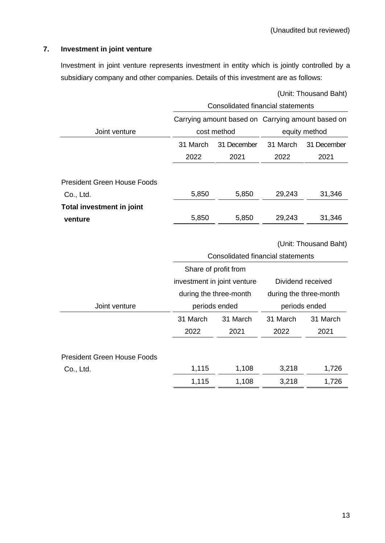# **7. Investment in joint venture**

Investment in joint venture represents investment in entity which is jointly controlled by a subsidiary company and other companies. Details of this investment are as follows:

|                                    | (Unit: Thousand Baht)                             |                                   |               |                        |  |  |  |  |  |
|------------------------------------|---------------------------------------------------|-----------------------------------|---------------|------------------------|--|--|--|--|--|
|                                    | Consolidated financial statements                 |                                   |               |                        |  |  |  |  |  |
|                                    | Carrying amount based on Carrying amount based on |                                   |               |                        |  |  |  |  |  |
| Joint venture                      |                                                   | cost method                       | equity method |                        |  |  |  |  |  |
|                                    | 31 March                                          | 31 December                       | 31 March      | 31 December            |  |  |  |  |  |
|                                    | 2022                                              | 2021                              | 2022          | 2021                   |  |  |  |  |  |
| <b>President Green House Foods</b> |                                                   |                                   |               |                        |  |  |  |  |  |
| Co., Ltd.                          | 5,850                                             | 5,850                             | 29,243        | 31,346                 |  |  |  |  |  |
| <b>Total investment in joint</b>   |                                                   |                                   |               |                        |  |  |  |  |  |
| venture                            | 5,850                                             | 5,850                             | 29,243        | 31,346                 |  |  |  |  |  |
|                                    |                                                   |                                   |               |                        |  |  |  |  |  |
|                                    |                                                   |                                   |               | (Unit: Thousand Baht)  |  |  |  |  |  |
|                                    |                                                   | Consolidated financial statements |               |                        |  |  |  |  |  |
|                                    |                                                   | Share of profit from              |               |                        |  |  |  |  |  |
|                                    |                                                   | investment in joint venture       |               | Dividend received      |  |  |  |  |  |
|                                    |                                                   | during the three-month            |               | during the three-month |  |  |  |  |  |
| Joint venture                      |                                                   | periods ended                     |               | periods ended          |  |  |  |  |  |
|                                    | 31 March                                          | 31 March                          | 31 March      | 31 March               |  |  |  |  |  |
|                                    | 2022                                              | 2021                              | 2022          | 2021                   |  |  |  |  |  |
|                                    |                                                   |                                   |               |                        |  |  |  |  |  |
| <b>President Green House Foods</b> |                                                   |                                   |               |                        |  |  |  |  |  |
| Co., Ltd.                          | 1,115                                             | 1,108                             | 3,218         | 1,726                  |  |  |  |  |  |
|                                    | 1,115                                             | 1,108                             | 3,218         | 1,726                  |  |  |  |  |  |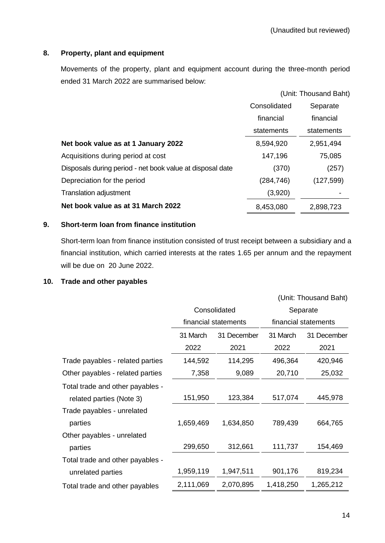# **8. Property, plant and equipment**

Movements of the property, plant and equipment account during the three-month period ended 31 March 2022 are summarised below:

|                                                           |              | (Unit: Thousand Baht) |
|-----------------------------------------------------------|--------------|-----------------------|
|                                                           | Consolidated | Separate              |
|                                                           | financial    | financial             |
|                                                           | statements   | statements            |
| Net book value as at 1 January 2022                       | 8,594,920    | 2,951,494             |
| Acquisitions during period at cost                        | 147,196      | 75,085                |
| Disposals during period - net book value at disposal date | (370)        | (257)                 |
| Depreciation for the period                               | (284,746)    | (127, 599)            |
| <b>Translation adjustment</b>                             | (3,920)      |                       |
| Net book value as at 31 March 2022                        | 8,453,080    | 2,898,723             |

# **9. Short-term loan from finance institution**

Short-term loan from finance institution consisted of trust receipt between a subsidiary and a financial institution, which carried interests at the rates 1.65 per annum and the repayment will be due on 20 June 2022.

### **10. Trade and other payables**

|                                  |           |                      |           | (Unit: Thousand Baht) |  |
|----------------------------------|-----------|----------------------|-----------|-----------------------|--|
|                                  |           | Consolidated         | Separate  |                       |  |
|                                  |           | financial statements |           | financial statements  |  |
|                                  | 31 March  | 31 December          | 31 March  | 31 December           |  |
|                                  | 2022      | 2021                 | 2022      | 2021                  |  |
| Trade payables - related parties | 144,592   | 114,295              | 496,364   | 420,946               |  |
| Other payables - related parties | 7,358     | 9,089                | 20,710    | 25,032                |  |
| Total trade and other payables - |           |                      |           |                       |  |
| related parties (Note 3)         | 151,950   | 123,384              | 517,074   | 445,978               |  |
| Trade payables - unrelated       |           |                      |           |                       |  |
| parties                          | 1,659,469 | 1,634,850            | 789,439   | 664,765               |  |
| Other payables - unrelated       |           |                      |           |                       |  |
| parties                          | 299,650   | 312,661              | 111,737   | 154,469               |  |
| Total trade and other payables - |           |                      |           |                       |  |
| unrelated parties                | 1,959,119 | 1,947,511            | 901,176   | 819,234               |  |
| Total trade and other payables   | 2,111,069 | 2,070,895            | 1,418,250 | 1,265,212             |  |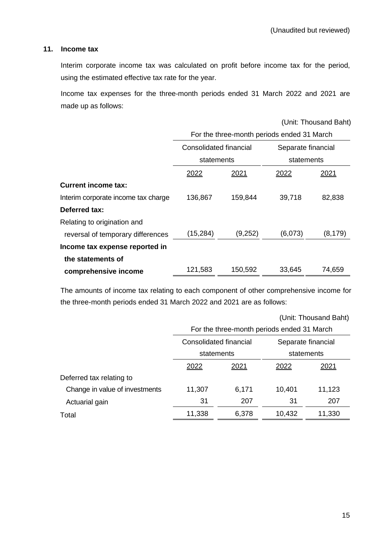### **11. Income tax**

Interim corporate income tax was calculated on profit before income tax for the period, using the estimated effective tax rate for the year.

Income tax expenses for the three-month periods ended 31 March 2022 and 2021 are made up as follows:

(Unit: Thousand Baht)

|                                     | For the three-month periods ended 31 March |         |                    |          |  |  |  |
|-------------------------------------|--------------------------------------------|---------|--------------------|----------|--|--|--|
|                                     | Consolidated financial                     |         | Separate financial |          |  |  |  |
|                                     | statements                                 |         | statements         |          |  |  |  |
|                                     | 2022                                       | 2021    | 2022               | 2021     |  |  |  |
| <b>Current income tax:</b>          |                                            |         |                    |          |  |  |  |
| Interim corporate income tax charge | 136,867                                    | 159,844 | 39,718             | 82,838   |  |  |  |
| Deferred tax:                       |                                            |         |                    |          |  |  |  |
| Relating to origination and         |                                            |         |                    |          |  |  |  |
| reversal of temporary differences   | (15, 284)                                  | (9,252) | (6,073)            | (8, 179) |  |  |  |
| Income tax expense reported in      |                                            |         |                    |          |  |  |  |
| the statements of                   |                                            |         |                    |          |  |  |  |
| comprehensive income                | 121,583                                    | 150,592 | 33,645             | 74,659   |  |  |  |

The amounts of income tax relating to each component of other comprehensive income for the three-month periods ended 31 March 2022 and 2021 are as follows:

|                                | (Unit: Thousand Baht)  |       |                                            |        |  |  |  |
|--------------------------------|------------------------|-------|--------------------------------------------|--------|--|--|--|
|                                |                        |       | For the three-month periods ended 31 March |        |  |  |  |
|                                | Consolidated financial |       | Separate financial                         |        |  |  |  |
|                                | statements             |       | statements                                 |        |  |  |  |
|                                | 2022                   | 2021  | 2022                                       | 2021   |  |  |  |
| Deferred tax relating to       |                        |       |                                            |        |  |  |  |
| Change in value of investments | 11,307                 | 6,171 | 10,401                                     | 11,123 |  |  |  |
| Actuarial gain                 | 31                     | 207   | 31                                         | 207    |  |  |  |
| Total                          | 11,338                 | 6,378 | 10,432                                     | 11,330 |  |  |  |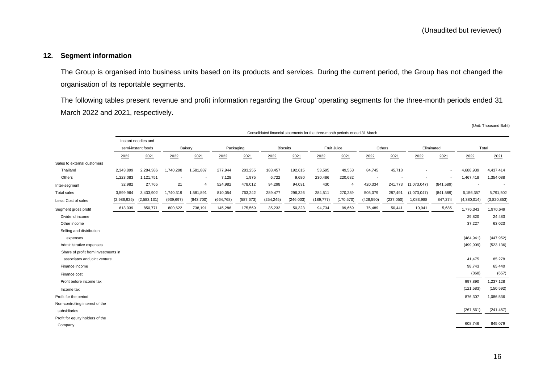# **12. Segment information**

The Group is organised into business units based on its products and services. During the current period, the Group has not changed the organisation of its reportable segments.

The following tables present revenue and profit information regarding the Group' operating segments for the three-month periods ended 31 March 2022 and 2021, respectively.

|                                     |                                                                              |                     |            |                          |            |            |            |                 |             |                |                          |                          |                          |                          |                          | (Unit: Thousand Baht) |
|-------------------------------------|------------------------------------------------------------------------------|---------------------|------------|--------------------------|------------|------------|------------|-----------------|-------------|----------------|--------------------------|--------------------------|--------------------------|--------------------------|--------------------------|-----------------------|
|                                     | Consolidated financial statements for the three-month periods ended 31 March |                     |            |                          |            |            |            |                 |             |                |                          |                          |                          |                          |                          |                       |
|                                     |                                                                              | Instant noodles and |            |                          |            |            |            |                 |             |                |                          |                          |                          |                          |                          |                       |
|                                     |                                                                              | semi-instant foods  |            | Bakery                   |            | Packaging  |            | <b>Biscuits</b> | Fruit Juice |                |                          | Others                   |                          | Eliminated               | Total                    |                       |
|                                     | 2022                                                                         | 2021                | 2022       | 2021                     | 2022       | 2021       | 2022       | 2021            | 2022        | 2021           | 2022                     | 2021                     | 2022                     | 2021                     | 2022                     | 2021                  |
| Sales to external customers         |                                                                              |                     |            |                          |            |            |            |                 |             |                |                          |                          |                          |                          |                          |                       |
| Thailand                            | 2,343,899                                                                    | 2,284,386           | 1,740,298  | 1,581,887                | 277,944    | 283,255    | 188,457    | 192,615         | 53,595      | 49,553         | 84,745                   | 45,718                   |                          | $\overline{\phantom{a}}$ | 4,688,939                | 4,437,414             |
| Others                              | 1,223,083                                                                    | 1,121,751           |            | $\overline{\phantom{a}}$ | 7,128      | 1,975      | 6,722      | 9,680           | 230,486     | 220,682        | $\overline{\phantom{a}}$ | $\overline{\phantom{a}}$ | $\overline{\phantom{a}}$ | $\overline{\phantom{a}}$ | 1,467,418                | 1,354,088             |
| Inter-segment                       | 32,982                                                                       | 27,765              | 21         | $\overline{4}$           | 524,982    | 478,012    | 94,298     | 94,031          | 430         | $\overline{4}$ | 420,334                  | 241,773                  | (1,073,047)              | (841, 589)               | $\overline{\phantom{a}}$ | $\sim$                |
| <b>Total sales</b>                  | 3,599,964                                                                    | 3,433,902           | 1,740,319  | 1,581,891                | 810,054    | 763,242    | 289,477    | 296,326         | 284,511     | 270,239        | 505,079                  | 287,491                  | (1,073,047)              | (841, 589)               | 6,156,357                | 5,791,502             |
| Less: Cost of sales                 | (2,986,925)                                                                  | (2,583,131)         | (939, 697) | (843,700)                | (664, 768) | (587, 673) | (254, 245) | (246,003)       | (189, 777)  | (170, 570)     | (428, 590)               | (237,050)                | 1,083,988                | 847,274                  | (4,380,014)              | (3,820,853)           |
| Segment gross profit                | 613,039                                                                      | 850,771             | 800,622    | 738,191                  | 145,286    | 175,569    | 35,232     | 50,323          | 94,734      | 99,669         | 76,489                   | 50,441                   | 10,941                   | 5,685                    | 1,776,343                | 1,970,649             |
| Dividend income                     |                                                                              |                     |            |                          |            |            |            |                 |             |                |                          |                          |                          |                          | 29,820                   | 24,483                |
| Other income                        |                                                                              |                     |            |                          |            |            |            |                 |             |                |                          |                          |                          |                          | 37,227                   | 63,023                |
| Selling and distribution            |                                                                              |                     |            |                          |            |            |            |                 |             |                |                          |                          |                          |                          |                          |                       |
| expenses                            |                                                                              |                     |            |                          |            |            |            |                 |             |                |                          |                          |                          |                          | (484, 941)               | (447, 952)            |
| Administrative expenses             |                                                                              |                     |            |                          |            |            |            |                 |             |                |                          |                          |                          |                          | (499,909)                | (523, 136)            |
| Share of profit from investments in |                                                                              |                     |            |                          |            |            |            |                 |             |                |                          |                          |                          |                          |                          |                       |
| associates and joint venture        |                                                                              |                     |            |                          |            |            |            |                 |             |                |                          |                          |                          |                          | 41,475                   | 85,278                |
| Finance income                      |                                                                              |                     |            |                          |            |            |            |                 |             |                |                          |                          |                          |                          | 98,743                   | 65,440                |
| Finance cost                        |                                                                              |                     |            |                          |            |            |            |                 |             |                |                          |                          |                          |                          | (868)                    | (657)                 |
| Profit before income tax            |                                                                              |                     |            |                          |            |            |            |                 |             |                |                          |                          |                          |                          | 997,890                  | 1,237,128             |
| Income tax                          |                                                                              |                     |            |                          |            |            |            |                 |             |                |                          |                          |                          |                          | (121, 583)               | (150, 592)            |
| Profit for the period               |                                                                              |                     |            |                          |            |            |            |                 |             |                |                          |                          |                          |                          | 876,307                  | 1,086,536             |
| Non-controlling interest of the     |                                                                              |                     |            |                          |            |            |            |                 |             |                |                          |                          |                          |                          |                          |                       |
| subsidiaries                        |                                                                              |                     |            |                          |            |            |            |                 |             |                |                          |                          |                          |                          | (267, 561)               | (241, 457)            |
| Profit for equity holders of the    |                                                                              |                     |            |                          |            |            |            |                 |             |                |                          |                          |                          |                          |                          |                       |
| Company                             |                                                                              |                     |            |                          |            |            |            |                 |             |                |                          |                          |                          |                          | 608,746                  | 845,079               |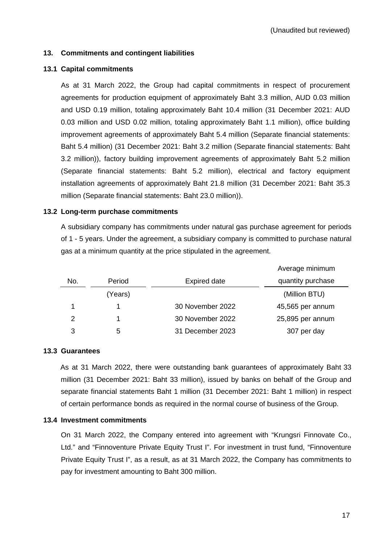# **13. Commitments and contingent liabilities**

### **13.1 Capital commitments**

As at 31 March 2022, the Group had capital commitments in respect of procurement agreements for production equipment of approximately Baht 3.3 million, AUD 0.03 million and USD 0.19 million, totaling approximately Baht 10.4 million (31 December 2021: AUD 0.03 million and USD 0.02 million, totaling approximately Baht 1.1 million), office building improvement agreements of approximately Baht 5.4 million (Separate financial statements: Baht 5.4 million) (31 December 2021: Baht 3.2 million (Separate financial statements: Baht 3.2 million)), factory building improvement agreements of approximately Baht 5.2 million (Separate financial statements: Baht 5.2 million), electrical and factory equipment installation agreements of approximately Baht 21.8 million (31 December 2021: Baht 35.3 million (Separate financial statements: Baht 23.0 million)).

# **13.2 Long-term purchase commitments**

A subsidiary company has commitments under natural gas purchase agreement for periods of 1 - 5 years. Under the agreement, a subsidiary company is committed to purchase natural gas at a minimum quantity at the price stipulated in the agreement.

|     |         |                     | Average minimum   |
|-----|---------|---------------------|-------------------|
| No. | Period  | <b>Expired date</b> | quantity purchase |
|     | (Years) |                     | (Million BTU)     |
|     |         | 30 November 2022    | 45,565 per annum  |
| 2   |         | 30 November 2022    | 25,895 per annum  |
| 3   | 5       | 31 December 2023    | 307 per day       |

### **13.3 Guarantees**

As at 31 March 2022, there were outstanding bank guarantees of approximately Baht 33 million (31 December 2021: Baht 33 million), issued by banks on behalf of the Group and separate financial statements Baht 1 million (31 December 2021: Baht 1 million) in respect of certain performance bonds as required in the normal course of business of the Group.

### **13.4 Investment commitments**

On 31 March 2022, the Company entered into agreement with "Krungsri Finnovate Co., Ltd." and "Finnoventure Private Equity Trust I". For investment in trust fund, "Finnoventure Private Equity Trust I", as a result, as at 31 March 2022, the Company has commitments to pay for investment amounting to Baht 300 million.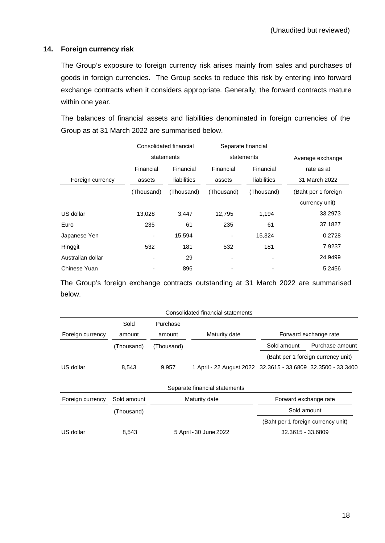#### **14. Foreign currency risk**

The Group's exposure to foreign currency risk arises mainly from sales and purchases of goods in foreign currencies. The Group seeks to reduce this risk by entering into forward exchange contracts when it considers appropriate. Generally, the forward contracts mature within one year.

The balances of financial assets and liabilities denominated in foreign currencies of the Group as at 31 March 2022 are summarised below.

|                   |                     | Consolidated financial   |                     | Separate financial       |                             |  |
|-------------------|---------------------|--------------------------|---------------------|--------------------------|-----------------------------|--|
|                   |                     | statements               |                     | statements               | Average exchange            |  |
|                   | Financial<br>assets | Financial<br>liabilities | Financial<br>assets | Financial<br>liabilities | rate as at<br>31 March 2022 |  |
| Foreign currency  |                     |                          |                     |                          |                             |  |
|                   | (Thousand)          | (Thousand)               | (Thousand)          | (Thousand)               | (Baht per 1 foreign         |  |
|                   |                     |                          |                     |                          | currency unit)              |  |
| US dollar         | 13,028              | 3,447                    | 12,795              | 1,194                    | 33.2973                     |  |
| Euro              | 235                 | 61                       | 235                 | 61                       | 37.1827                     |  |
| Japanese Yen      | -                   | 15,594                   | ٠                   | 15,324                   | 0.2728                      |  |
| Ringgit           | 532                 | 181                      | 532                 | 181                      | 7.9237                      |  |
| Australian dollar |                     | 29                       | ٠                   |                          | 24.9499                     |  |
| Chinese Yuan      |                     | 896                      |                     |                          | 5.2456                      |  |

The Group's foreign exchange contracts outstanding at 31 March 2022 are summarised below.

|                  |             |            | Consolidated financial statements                            |                                    |                                    |
|------------------|-------------|------------|--------------------------------------------------------------|------------------------------------|------------------------------------|
|                  | Sold        | Purchase   |                                                              |                                    |                                    |
| Foreign currency | amount      | amount     | Maturity date                                                |                                    | Forward exchange rate              |
|                  | (Thousand)  | (Thousand) |                                                              | Sold amount                        | Purchase amount                    |
|                  |             |            |                                                              |                                    | (Baht per 1 foreign currency unit) |
| US dollar        | 8,543       | 9,957      | 1 April - 22 August 2022 32.3615 - 33.6809 32.3500 - 33.3400 |                                    |                                    |
|                  |             |            | Separate financial statements                                |                                    |                                    |
| Foreign currency | Sold amount |            | Maturity date                                                | Forward exchange rate              |                                    |
|                  | (Thousand)  |            |                                                              | Sold amount                        |                                    |
|                  |             |            |                                                              | (Baht per 1 foreign currency unit) |                                    |
| US dollar        | 8,543       |            | 5 April - 30 June 2022                                       | 32.3615 - 33.6809                  |                                    |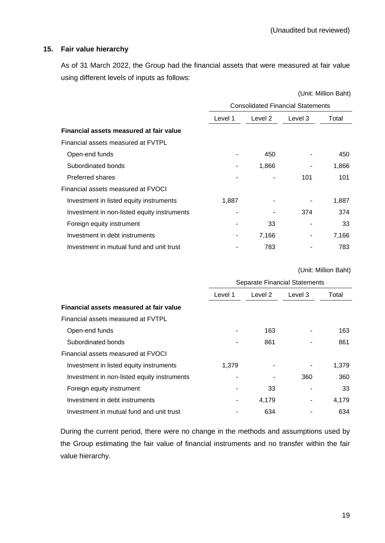### **15. Fair value hierarchy**

As of 31 March 2022, the Group had the financial assets that were measured at fair value using different levels of inputs as follows:

|                                             | (Unit: Million Baht)                     |         |         |       |  |  |  |
|---------------------------------------------|------------------------------------------|---------|---------|-------|--|--|--|
|                                             | <b>Consolidated Financial Statements</b> |         |         |       |  |  |  |
|                                             | Level 1                                  | Level 2 | Level 3 | Total |  |  |  |
| Financial assets measured at fair value     |                                          |         |         |       |  |  |  |
| Financial assets measured at FVTPL          |                                          |         |         |       |  |  |  |
| Open-end funds                              |                                          | 450     |         | 450   |  |  |  |
| Subordinated bonds                          |                                          | 1,866   |         | 1,866 |  |  |  |
| <b>Preferred shares</b>                     |                                          |         | 101     | 101   |  |  |  |
| Financial assets measured at FVOCI          |                                          |         |         |       |  |  |  |
| Investment in listed equity instruments     | 1,887                                    |         |         | 1,887 |  |  |  |
| Investment in non-listed equity instruments |                                          |         | 374     | 374   |  |  |  |
| Foreign equity instrument                   |                                          | 33      |         | 33    |  |  |  |
| Investment in debt instruments              |                                          | 7,166   |         | 7,166 |  |  |  |
| Investment in mutual fund and unit trust    |                                          | 783     |         | 783   |  |  |  |

(Unit: Million Baht)

|                                             |         | Separate Financial Statements |         |       |  |  |  |
|---------------------------------------------|---------|-------------------------------|---------|-------|--|--|--|
|                                             | Level 1 | Level 2                       | Level 3 | Total |  |  |  |
| Financial assets measured at fair value     |         |                               |         |       |  |  |  |
| Financial assets measured at FVTPL          |         |                               |         |       |  |  |  |
| Open-end funds                              |         | 163                           |         | 163   |  |  |  |
| Subordinated bonds                          |         | 861                           |         | 861   |  |  |  |
| Financial assets measured at FVOCI          |         |                               |         |       |  |  |  |
| Investment in listed equity instruments     | 1.379   |                               |         | 1,379 |  |  |  |
| Investment in non-listed equity instruments |         |                               | 360     | 360   |  |  |  |
| Foreign equity instrument                   |         | 33                            |         | 33    |  |  |  |
| Investment in debt instruments              |         | 4,179                         |         | 4.179 |  |  |  |
| Investment in mutual fund and unit trust    |         | 634                           |         | 634   |  |  |  |

During the current period, there were no change in the methods and assumptions used by the Group estimating the fair value of financial instruments and no transfer within the fair value hierarchy.